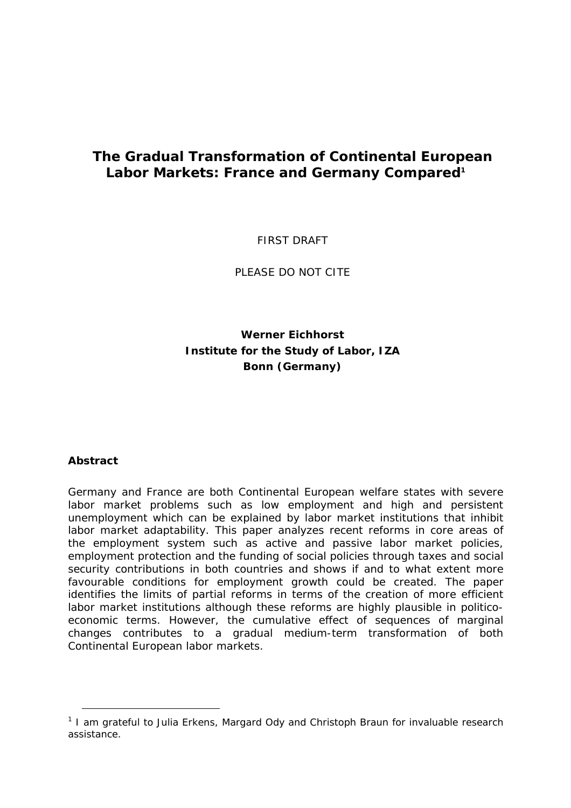# **The Gradual Transformation of Continental European Labor Markets: France and Germany Compared[1](#page-0-0)**

*FIRST DRAFT* 

*PLEASE DO NOT CITE* 

## **Werner Eichhorst Institute for the Study of Labor, IZA Bonn (Germany)**

## *Abstract*

l

Germany and France are both Continental European welfare states with severe labor market problems such as low employment and high and persistent unemployment which can be explained by labor market institutions that inhibit labor market adaptability. This paper analyzes recent reforms in core areas of the employment system such as active and passive labor market policies, employment protection and the funding of social policies through taxes and social security contributions in both countries and shows if and to what extent more favourable conditions for employment growth could be created. The paper identifies the limits of partial reforms in terms of the creation of more efficient labor market institutions although these reforms are highly plausible in politicoeconomic terms. However, the cumulative effect of sequences of marginal changes contributes to a gradual medium-term transformation of both Continental European labor markets.

<span id="page-0-0"></span><sup>&</sup>lt;sup>1</sup> I am grateful to Julia Erkens, Margard Ody and Christoph Braun for invaluable research assistance.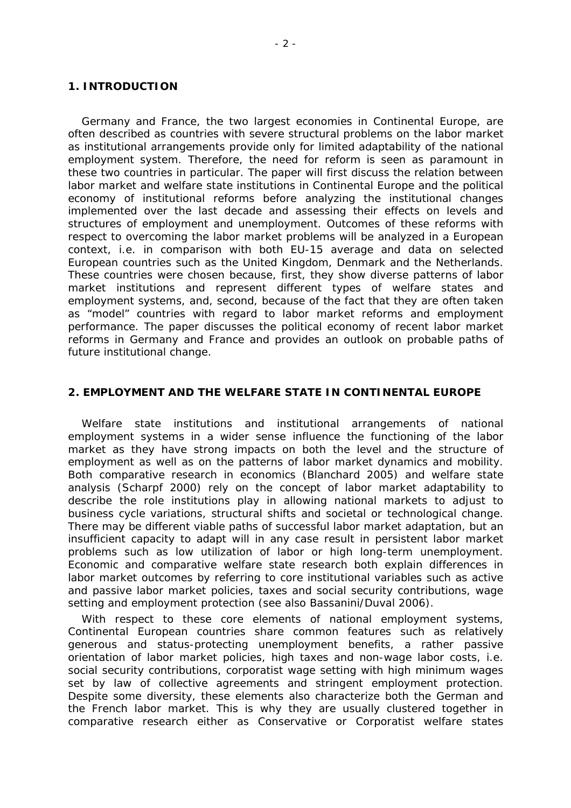#### **1. INTRODUCTION**

Germany and France, the two largest economies in Continental Europe, are often described as countries with severe structural problems on the labor market as institutional arrangements provide only for limited adaptability of the national employment system. Therefore, the need for reform is seen as paramount in these two countries in particular. The paper will first discuss the relation between labor market and welfare state institutions in Continental Europe and the political economy of institutional reforms before analyzing the institutional changes implemented over the last decade and assessing their effects on levels and structures of employment and unemployment. Outcomes of these reforms with respect to overcoming the labor market problems will be analyzed in a European context, i.e. in comparison with both EU-15 average and data on selected European countries such as the United Kingdom, Denmark and the Netherlands. These countries were chosen because, first, they show diverse patterns of labor market institutions and represent different types of welfare states and employment systems, and, second, because of the fact that they are often taken as "model" countries with regard to labor market reforms and employment performance. The paper discusses the political economy of recent labor market reforms in Germany and France and provides an outlook on probable paths of future institutional change.

#### **2. EMPLOYMENT AND THE WELFARE STATE IN CONTINENTAL EUROPE**

Welfare state institutions and institutional arrangements of national employment systems in a wider sense influence the functioning of the labor market as they have strong impacts on both the level and the structure of employment as well as on the patterns of labor market dynamics and mobility. Both comparative research in economics (Blanchard 2005) and welfare state analysis (Scharpf 2000) rely on the concept of labor market adaptability to describe the role institutions play in allowing national markets to adjust to business cycle variations, structural shifts and societal or technological change. There may be different viable paths of successful labor market adaptation, but an insufficient capacity to adapt will in any case result in persistent labor market problems such as low utilization of labor or high long-term unemployment. Economic and comparative welfare state research both explain differences in labor market outcomes by referring to core institutional variables such as active and passive labor market policies, taxes and social security contributions, wage setting and employment protection (see also Bassanini/Duval 2006).

With respect to these core elements of national employment systems, Continental European countries share common features such as relatively generous and status-protecting unemployment benefits, a rather passive orientation of labor market policies, high taxes and non-wage labor costs, i.e. social security contributions, corporatist wage setting with high minimum wages set by law of collective agreements and stringent employment protection. Despite some diversity, these elements also characterize both the German and the French labor market. This is why they are usually clustered together in comparative research either as Conservative or Corporatist welfare states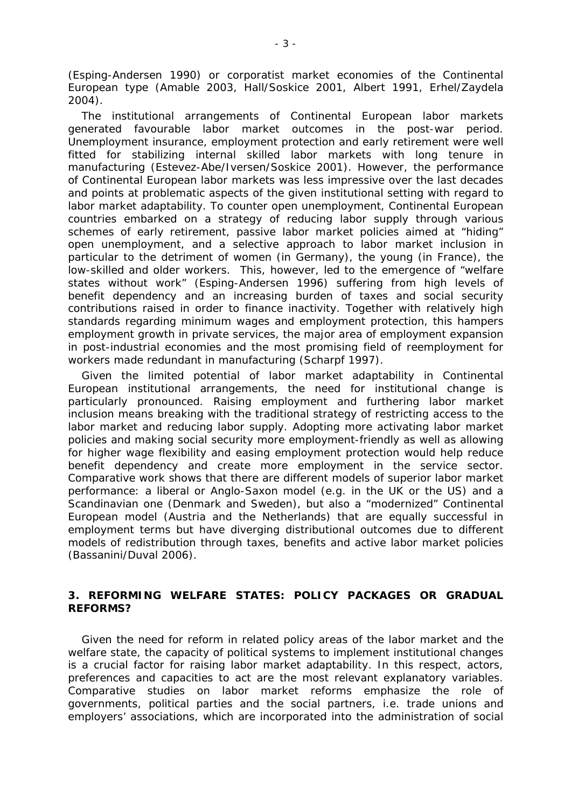(Esping-Andersen 1990) or corporatist market economies of the Continental European type (Amable 2003, Hall/Soskice 2001, Albert 1991, Erhel/Zaydela 2004).

The institutional arrangements of Continental European labor markets generated favourable labor market outcomes in the post-war period. Unemployment insurance, employment protection and early retirement were well fitted for stabilizing internal skilled labor markets with long tenure in manufacturing (Estevez-Abe/Iversen/Soskice 2001). However, the performance of Continental European labor markets was less impressive over the last decades and points at problematic aspects of the given institutional setting with regard to labor market adaptability. To counter open unemployment, Continental European countries embarked on a strategy of reducing labor supply through various schemes of early retirement, passive labor market policies aimed at "hiding" open unemployment, and a selective approach to labor market inclusion in particular to the detriment of women (in Germany), the young (in France), the low-skilled and older workers. This, however, led to the emergence of "welfare states without work" (Esping-Andersen 1996) suffering from high levels of benefit dependency and an increasing burden of taxes and social security contributions raised in order to finance inactivity. Together with relatively high standards regarding minimum wages and employment protection, this hampers employment growth in private services, the major area of employment expansion in post-industrial economies and the most promising field of reemployment for workers made redundant in manufacturing (Scharpf 1997).

Given the limited potential of labor market adaptability in Continental European institutional arrangements, the need for institutional change is particularly pronounced. Raising employment and furthering labor market inclusion means breaking with the traditional strategy of restricting access to the labor market and reducing labor supply. Adopting more activating labor market policies and making social security more employment-friendly as well as allowing for higher wage flexibility and easing employment protection would help reduce benefit dependency and create more employment in the service sector. Comparative work shows that there are different models of superior labor market performance: a liberal or Anglo-Saxon model (e.g. in the UK or the US) and a Scandinavian one (Denmark and Sweden), but also a "modernized" Continental European model (Austria and the Netherlands) that are equally successful in employment terms but have diverging distributional outcomes due to different models of redistribution through taxes, benefits and active labor market policies (Bassanini/Duval 2006).

#### **3. REFORMING WELFARE STATES: POLICY PACKAGES OR GRADUAL REFORMS?**

Given the need for reform in related policy areas of the labor market and the welfare state, the capacity of political systems to implement institutional changes is a crucial factor for raising labor market adaptability. In this respect, actors, preferences and capacities to act are the most relevant explanatory variables. Comparative studies on labor market reforms emphasize the role of governments, political parties and the social partners, i.e. trade unions and employers' associations, which are incorporated into the administration of social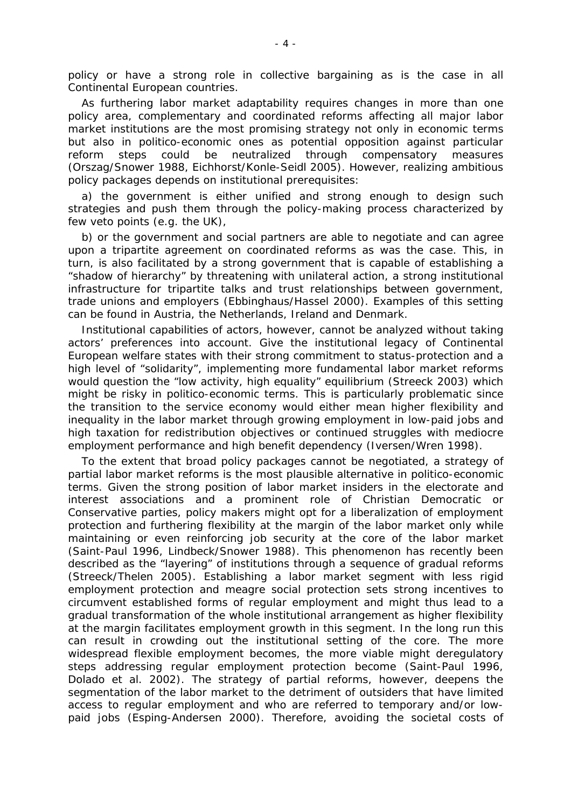policy or have a strong role in collective bargaining as is the case in all Continental European countries.

As furthering labor market adaptability requires changes in more than one policy area, complementary and coordinated reforms affecting all major labor market institutions are the most promising strategy not only in economic terms but also in politico-economic ones as potential opposition against particular reform steps could be neutralized through compensatory measures (Orszag/Snower 1988, Eichhorst/Konle-Seidl 2005). However, realizing ambitious policy packages depends on institutional prerequisites:

a) the government is either unified and strong enough to design such strategies and push them through the policy-making process characterized by few veto points (e.g. the UK),

b) or the government and social partners are able to negotiate and can agree upon a tripartite agreement on coordinated reforms as was the case. This, in turn, is also facilitated by a strong government that is capable of establishing a "shadow of hierarchy" by threatening with unilateral action, a strong institutional infrastructure for tripartite talks and trust relationships between government, trade unions and employers (Ebbinghaus/Hassel 2000). Examples of this setting can be found in Austria, the Netherlands, Ireland and Denmark.

Institutional capabilities of actors, however, cannot be analyzed without taking actors' preferences into account. Give the institutional legacy of Continental European welfare states with their strong commitment to status-protection and a high level of "solidarity", implementing more fundamental labor market reforms would question the "low activity, high equality" equilibrium (Streeck 2003) which might be risky in politico-economic terms. This is particularly problematic since the transition to the service economy would either mean higher flexibility and inequality in the labor market through growing employment in low-paid jobs and high taxation for redistribution objectives or continued struggles with mediocre employment performance and high benefit dependency (Iversen/Wren 1998).

To the extent that broad policy packages cannot be negotiated, a strategy of partial labor market reforms is the most plausible alternative in politico-economic terms. Given the strong position of labor market insiders in the electorate and interest associations and a prominent role of Christian Democratic or Conservative parties, policy makers might opt for a liberalization of employment protection and furthering flexibility at the margin of the labor market only while maintaining or even reinforcing job security at the core of the labor market (Saint-Paul 1996, Lindbeck/Snower 1988). This phenomenon has recently been described as the "layering" of institutions through a sequence of gradual reforms (Streeck/Thelen 2005). Establishing a labor market segment with less rigid employment protection and meagre social protection sets strong incentives to circumvent established forms of regular employment and might thus lead to a gradual transformation of the whole institutional arrangement as higher flexibility at the margin facilitates employment growth in this segment. In the long run this can result in crowding out the institutional setting of the core. The more widespread flexible employment becomes, the more viable might deregulatory steps addressing regular employment protection become (Saint-Paul 1996, Dolado et al. 2002). The strategy of partial reforms, however, deepens the segmentation of the labor market to the detriment of outsiders that have limited access to regular employment and who are referred to temporary and/or lowpaid jobs (Esping-Andersen 2000). Therefore, avoiding the societal costs of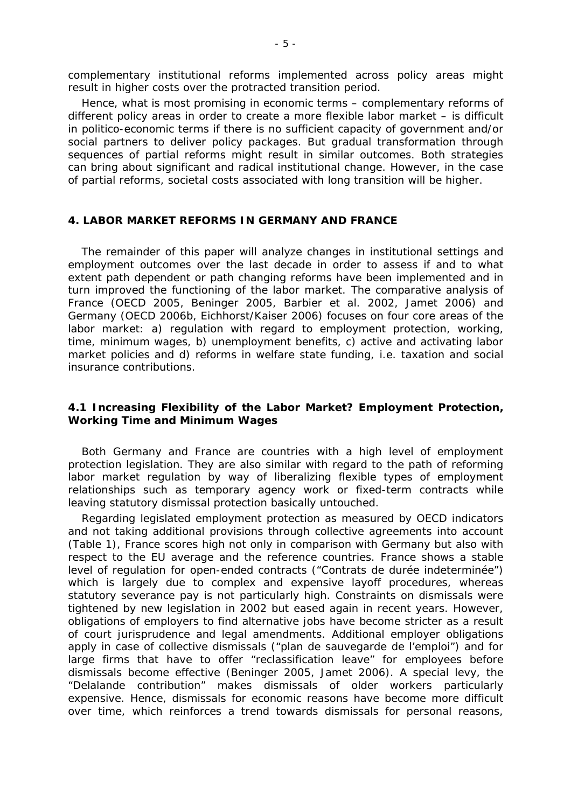complementary institutional reforms implemented across policy areas might result in higher costs over the protracted transition period.

Hence, what is most promising in economic terms – complementary reforms of different policy areas in order to create a more flexible labor market – is difficult in politico-economic terms if there is no sufficient capacity of government and/or social partners to deliver policy packages. But gradual transformation through sequences of partial reforms might result in similar outcomes. Both strategies can bring about significant and radical institutional change. However, in the case of partial reforms, societal costs associated with long transition will be higher.

#### **4. LABOR MARKET REFORMS IN GERMANY AND FRANCE**

The remainder of this paper will analyze changes in institutional settings and employment outcomes over the last decade in order to assess if and to what extent path dependent or path changing reforms have been implemented and in turn improved the functioning of the labor market. The comparative analysis of France (OECD 2005, Beninger 2005, Barbier et al. 2002, Jamet 2006) and Germany (OECD 2006b, Eichhorst/Kaiser 2006) focuses on four core areas of the labor market: a) regulation with regard to employment protection, working, time, minimum wages, b) unemployment benefits, c) active and activating labor market policies and d) reforms in welfare state funding, i.e. taxation and social insurance contributions.

### *4.1 Increasing Flexibility of the Labor Market? Employment Protection, Working Time and Minimum Wages*

Both Germany and France are countries with a high level of employment protection legislation. They are also similar with regard to the path of reforming labor market regulation by way of liberalizing flexible types of employment relationships such as temporary agency work or fixed-term contracts while leaving statutory dismissal protection basically untouched.

Regarding legislated employment protection as measured by OECD indicators and not taking additional provisions through collective agreements into account (Table 1), France scores high not only in comparison with Germany but also with respect to the EU average and the reference countries. France shows a stable level of regulation for open-ended contracts ("Contrats de durée indeterminée") which is largely due to complex and expensive layoff procedures, whereas statutory severance pay is not particularly high. Constraints on dismissals were tightened by new legislation in 2002 but eased again in recent years. However, obligations of employers to find alternative jobs have become stricter as a result of court jurisprudence and legal amendments. Additional employer obligations apply in case of collective dismissals ("plan de sauvegarde de l'emploi") and for large firms that have to offer "reclassification leave" for employees before dismissals become effective (Beninger 2005, Jamet 2006). A special levy, the "Delalande contribution" makes dismissals of older workers particularly expensive. Hence, dismissals for economic reasons have become more difficult over time, which reinforces a trend towards dismissals for personal reasons,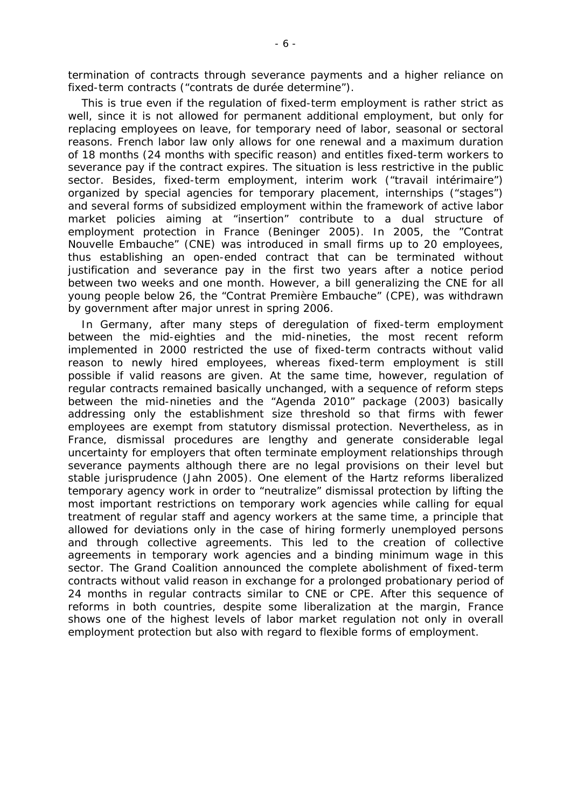termination of contracts through severance payments and a higher reliance on fixed-term contracts ("contrats de durée determine").

This is true even if the regulation of fixed-term employment is rather strict as well, since it is not allowed for permanent additional employment, but only for replacing employees on leave, for temporary need of labor, seasonal or sectoral reasons. French labor law only allows for one renewal and a maximum duration of 18 months (24 months with specific reason) and entitles fixed-term workers to severance pay if the contract expires. The situation is less restrictive in the public sector. Besides, fixed-term employment, interim work ("travail intérimaire") organized by special agencies for temporary placement, internships ("stages") and several forms of subsidized employment within the framework of active labor market policies aiming at "insertion" contribute to a dual structure of employment protection in France (Beninger 2005). In 2005, the "Contrat Nouvelle Embauche" (CNE) was introduced in small firms up to 20 employees, thus establishing an open-ended contract that can be terminated without justification and severance pay in the first two years after a notice period between two weeks and one month. However, a bill generalizing the CNE for all young people below 26, the "Contrat Première Embauche" (CPE), was withdrawn by government after major unrest in spring 2006.

In Germany, after many steps of deregulation of fixed-term employment between the mid-eighties and the mid-nineties, the most recent reform implemented in 2000 restricted the use of fixed-term contracts without valid reason to newly hired employees, whereas fixed-term employment is still possible if valid reasons are given. At the same time, however, regulation of regular contracts remained basically unchanged, with a sequence of reform steps between the mid-nineties and the "Agenda 2010" package (2003) basically addressing only the establishment size threshold so that firms with fewer employees are exempt from statutory dismissal protection. Nevertheless, as in France, dismissal procedures are lengthy and generate considerable legal uncertainty for employers that often terminate employment relationships through severance payments although there are no legal provisions on their level but stable jurisprudence (Jahn 2005). One element of the Hartz reforms liberalized temporary agency work in order to "neutralize" dismissal protection by lifting the most important restrictions on temporary work agencies while calling for equal treatment of regular staff and agency workers at the same time, a principle that allowed for deviations only in the case of hiring formerly unemployed persons and through collective agreements. This led to the creation of collective agreements in temporary work agencies and a binding minimum wage in this sector. The Grand Coalition announced the complete abolishment of fixed-term contracts without valid reason in exchange for a prolonged probationary period of 24 months in regular contracts similar to CNE or CPE. After this sequence of reforms in both countries, despite some liberalization at the margin, France shows one of the highest levels of labor market regulation not only in overall employment protection but also with regard to flexible forms of employment.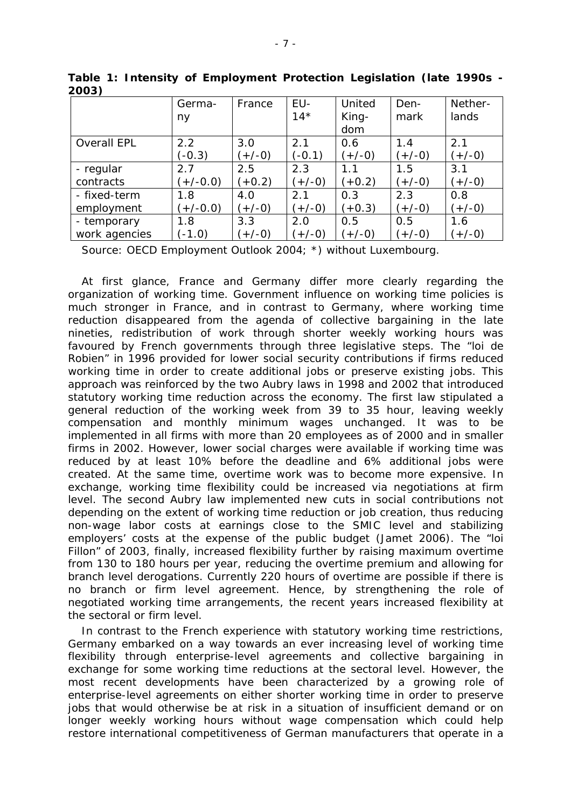|                    | Germa-     | France   | EU-      | United   | Den-     | Nether-  |
|--------------------|------------|----------|----------|----------|----------|----------|
|                    | ny         |          | $14*$    | King-    | mark     | lands    |
|                    |            |          |          | dom      |          |          |
| <b>Overall EPL</b> | 2.2        | 3.0      | 2.1      | 0.6      | 1.4      | 2.1      |
|                    | $(-0.3)$   | $(+/-0)$ | $(-0.1)$ | $(+/-0)$ | $(+/-0)$ | $(+/-0)$ |
| - regular          | 2.7        | 2.5      | 2.3      | 1.1      | 1.5      | 3.1      |
| contracts          | $(+/-0.0)$ | $+0.2)$  | $(+/-0)$ | $(+0.2)$ | $(+/-0)$ | $(+/-0)$ |
| - fixed-term       | 1.8        | 4.0      | 2.1      | 0.3      | 2.3      | 0.8      |
| employment         | $(+/-0.0)$ | $(+/-0)$ | $(+/-0)$ | $(+0.3)$ | $(+/-0)$ | $(+/-0)$ |
| - temporary        | 1.8        | 3.3      | 2.0      | 0.5      | 0.5      | 1.6      |
| work agencies      | $(-1.0)$   | $(+/-0)$ | $(+/-0)$ | $(+/-0)$ | $(+/-0)$ | $(+/-0)$ |

**Table 1: Intensity of Employment Protection Legislation (late 1990s - 2003)** 

Source: OECD Employment Outlook 2004; \*) without Luxembourg.

At first glance, France and Germany differ more clearly regarding the organization of working time. Government influence on working time policies is much stronger in France, and in contrast to Germany, where working time reduction disappeared from the agenda of collective bargaining in the late nineties, redistribution of work through shorter weekly working hours was favoured by French governments through three legislative steps. The "loi de Robien" in 1996 provided for lower social security contributions if firms reduced working time in order to create additional jobs or preserve existing jobs. This approach was reinforced by the two Aubry laws in 1998 and 2002 that introduced statutory working time reduction across the economy. The first law stipulated a general reduction of the working week from 39 to 35 hour, leaving weekly compensation and monthly minimum wages unchanged. It was to be implemented in all firms with more than 20 employees as of 2000 and in smaller firms in 2002. However, lower social charges were available if working time was reduced by at least 10% before the deadline and 6% additional jobs were created. At the same time, overtime work was to become more expensive. In exchange, working time flexibility could be increased via negotiations at firm level. The second Aubry law implemented new cuts in social contributions not depending on the extent of working time reduction or job creation, thus reducing non-wage labor costs at earnings close to the SMIC level and stabilizing employers' costs at the expense of the public budget (Jamet 2006). The "loi Fillon" of 2003, finally, increased flexibility further by raising maximum overtime from 130 to 180 hours per year, reducing the overtime premium and allowing for branch level derogations. Currently 220 hours of overtime are possible if there is no branch or firm level agreement. Hence, by strengthening the role of negotiated working time arrangements, the recent years increased flexibility at the sectoral or firm level.

In contrast to the French experience with statutory working time restrictions, Germany embarked on a way towards an ever increasing level of working time flexibility through enterprise-level agreements and collective bargaining in exchange for some working time reductions at the sectoral level. However, the most recent developments have been characterized by a growing role of enterprise-level agreements on either shorter working time in order to preserve jobs that would otherwise be at risk in a situation of insufficient demand or on longer weekly working hours without wage compensation which could help restore international competitiveness of German manufacturers that operate in a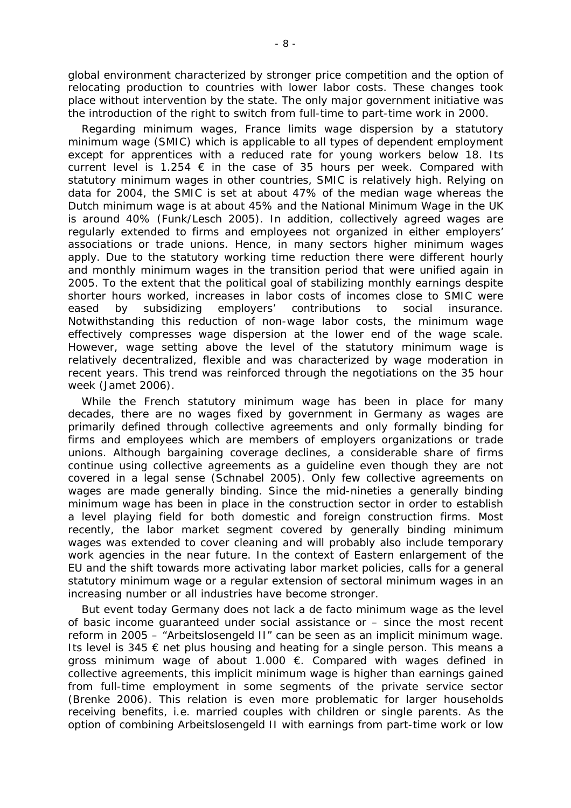global environment characterized by stronger price competition and the option of relocating production to countries with lower labor costs. These changes took place without intervention by the state. The only major government initiative was the introduction of the right to switch from full-time to part-time work in 2000.

Regarding minimum wages, France limits wage dispersion by a statutory minimum wage (SMIC) which is applicable to all types of dependent employment except for apprentices with a reduced rate for young workers below 18. Its current level is 1.254  $\epsilon$  in the case of 35 hours per week. Compared with statutory minimum wages in other countries, SMIC is relatively high. Relying on data for 2004, the SMIC is set at about 47% of the median wage whereas the Dutch minimum wage is at about 45% and the National Minimum Wage in the UK is around 40% (Funk/Lesch 2005). In addition, collectively agreed wages are regularly extended to firms and employees not organized in either employers' associations or trade unions. Hence, in many sectors higher minimum wages apply. Due to the statutory working time reduction there were different hourly and monthly minimum wages in the transition period that were unified again in 2005. To the extent that the political goal of stabilizing monthly earnings despite shorter hours worked, increases in labor costs of incomes close to SMIC were eased by subsidizing employers' contributions to social insurance. Notwithstanding this reduction of non-wage labor costs, the minimum wage effectively compresses wage dispersion at the lower end of the wage scale. However, wage setting above the level of the statutory minimum wage is relatively decentralized, flexible and was characterized by wage moderation in recent years. This trend was reinforced through the negotiations on the 35 hour week (Jamet 2006).

While the French statutory minimum wage has been in place for many decades, there are no wages fixed by government in Germany as wages are primarily defined through collective agreements and only formally binding for firms and employees which are members of employers organizations or trade unions. Although bargaining coverage declines, a considerable share of firms continue using collective agreements as a guideline even though they are not covered in a legal sense (Schnabel 2005). Only few collective agreements on wages are made generally binding. Since the mid-nineties a generally binding minimum wage has been in place in the construction sector in order to establish a level playing field for both domestic and foreign construction firms. Most recently, the labor market segment covered by generally binding minimum wages was extended to cover cleaning and will probably also include temporary work agencies in the near future. In the context of Eastern enlargement of the EU and the shift towards more activating labor market policies, calls for a general statutory minimum wage or a regular extension of sectoral minimum wages in an increasing number or all industries have become stronger.

But event today Germany does not lack a de facto minimum wage as the level of basic income guaranteed under social assistance or – since the most recent reform in 2005 – "Arbeitslosengeld II" can be seen as an implicit minimum wage. Its level is 345  $\epsilon$  net plus housing and heating for a single person. This means a gross minimum wage of about 1.000 €. Compared with wages defined in collective agreements, this implicit minimum wage is higher than earnings gained from full-time employment in some segments of the private service sector (Brenke 2006). This relation is even more problematic for larger households receiving benefits, i.e. married couples with children or single parents. As the option of combining Arbeitslosengeld II with earnings from part-time work or low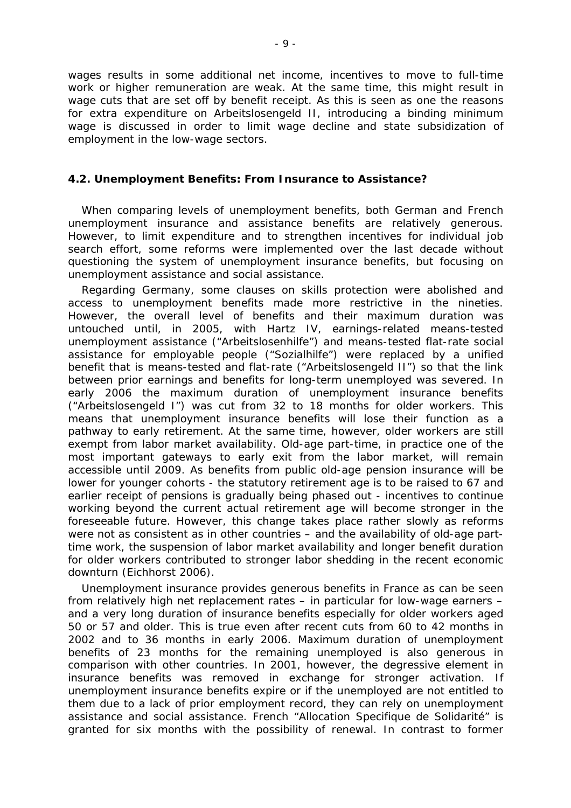wages results in some additional net income, incentives to move to full-time work or higher remuneration are weak. At the same time, this might result in wage cuts that are set off by benefit receipt. As this is seen as one the reasons for extra expenditure on Arbeitslosengeld II, introducing a binding minimum wage is discussed in order to limit wage decline and state subsidization of employment in the low-wage sectors.

#### *4.2. Unemployment Benefits: From Insurance to Assistance?*

When comparing levels of unemployment benefits, both German and French unemployment insurance and assistance benefits are relatively generous. However, to limit expenditure and to strengthen incentives for individual job search effort, some reforms were implemented over the last decade without questioning the system of unemployment insurance benefits, but focusing on unemployment assistance and social assistance.

Regarding Germany, some clauses on skills protection were abolished and access to unemployment benefits made more restrictive in the nineties. However, the overall level of benefits and their maximum duration was untouched until, in 2005, with Hartz IV, earnings-related means-tested unemployment assistance ("Arbeitslosenhilfe") and means-tested flat-rate social assistance for employable people ("Sozialhilfe") were replaced by a unified benefit that is means-tested and flat-rate ("Arbeitslosengeld II") so that the link between prior earnings and benefits for long-term unemployed was severed. In early 2006 the maximum duration of unemployment insurance benefits ("Arbeitslosengeld I") was cut from 32 to 18 months for older workers. This means that unemployment insurance benefits will lose their function as a pathway to early retirement. At the same time, however, older workers are still exempt from labor market availability. Old-age part-time, in practice one of the most important gateways to early exit from the labor market, will remain accessible until 2009. As benefits from public old-age pension insurance will be lower for younger cohorts - the statutory retirement age is to be raised to 67 and earlier receipt of pensions is gradually being phased out - incentives to continue working beyond the current actual retirement age will become stronger in the foreseeable future. However, this change takes place rather slowly as reforms were not as consistent as in other countries – and the availability of old-age parttime work, the suspension of labor market availability and longer benefit duration for older workers contributed to stronger labor shedding in the recent economic downturn (Eichhorst 2006).

Unemployment insurance provides generous benefits in France as can be seen from relatively high net replacement rates – in particular for low-wage earners – and a very long duration of insurance benefits especially for older workers aged 50 or 57 and older. This is true even after recent cuts from 60 to 42 months in 2002 and to 36 months in early 2006. Maximum duration of unemployment benefits of 23 months for the remaining unemployed is also generous in comparison with other countries. In 2001, however, the degressive element in insurance benefits was removed in exchange for stronger activation. If unemployment insurance benefits expire or if the unemployed are not entitled to them due to a lack of prior employment record, they can rely on unemployment assistance and social assistance. French "Allocation Specifique de Solidarité" is granted for six months with the possibility of renewal. In contrast to former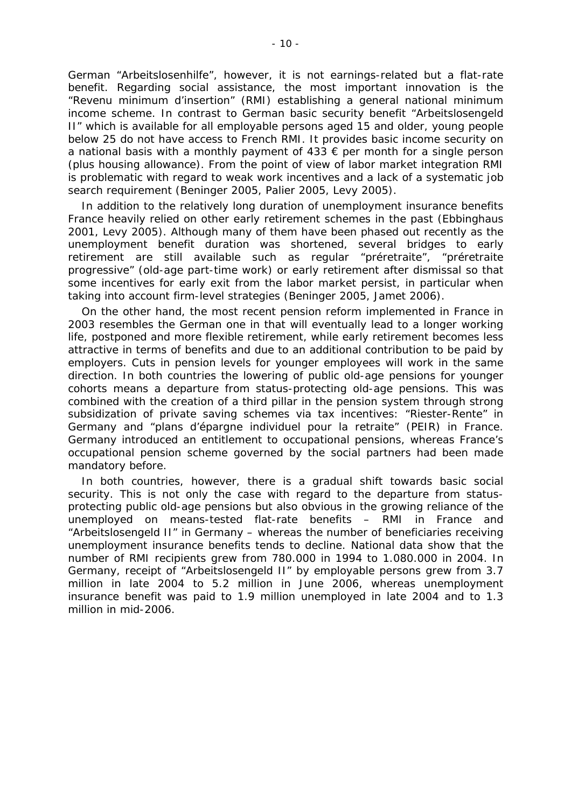German "Arbeitslosenhilfe", however, it is not earnings-related but a flat-rate benefit. Regarding social assistance, the most important innovation is the "Revenu minimum d'insertion" (RMI) establishing a general national minimum income scheme. In contrast to German basic security benefit "Arbeitslosengeld II" which is available for all employable persons aged 15 and older, young people below 25 do not have access to French RMI. It provides basic income security on a national basis with a monthly payment of  $433 \text{ } \in \text{per}$  month for a single person (plus housing allowance). From the point of view of labor market integration RMI is problematic with regard to weak work incentives and a lack of a systematic job search requirement (Beninger 2005, Palier 2005, Levy 2005).

In addition to the relatively long duration of unemployment insurance benefits France heavily relied on other early retirement schemes in the past (Ebbinghaus 2001, Levy 2005). Although many of them have been phased out recently as the unemployment benefit duration was shortened, several bridges to early retirement are still available such as regular "préretraite", "préretraite progressive" (old-age part-time work) or early retirement after dismissal so that some incentives for early exit from the labor market persist, in particular when taking into account firm-level strategies (Beninger 2005, Jamet 2006).

On the other hand, the most recent pension reform implemented in France in 2003 resembles the German one in that will eventually lead to a longer working life, postponed and more flexible retirement, while early retirement becomes less attractive in terms of benefits and due to an additional contribution to be paid by employers. Cuts in pension levels for younger employees will work in the same direction. In both countries the lowering of public old-age pensions for younger cohorts means a departure from status-protecting old-age pensions. This was combined with the creation of a third pillar in the pension system through strong subsidization of private saving schemes via tax incentives: "Riester-Rente" in Germany and "plans d'épargne individuel pour la retraite" (PEIR) in France. Germany introduced an entitlement to occupational pensions, whereas France's occupational pension scheme governed by the social partners had been made mandatory before.

In both countries, however, there is a gradual shift towards basic social security. This is not only the case with regard to the departure from statusprotecting public old-age pensions but also obvious in the growing reliance of the unemployed on means-tested flat-rate benefits – RMI in France and "Arbeitslosengeld II" in Germany – whereas the number of beneficiaries receiving unemployment insurance benefits tends to decline. National data show that the number of RMI recipients grew from 780.000 in 1994 to 1.080.000 in 2004. In Germany, receipt of "Arbeitslosengeld II" by employable persons grew from 3.7 million in late 2004 to 5.2 million in June 2006, whereas unemployment insurance benefit was paid to 1.9 million unemployed in late 2004 and to 1.3 million in mid-2006.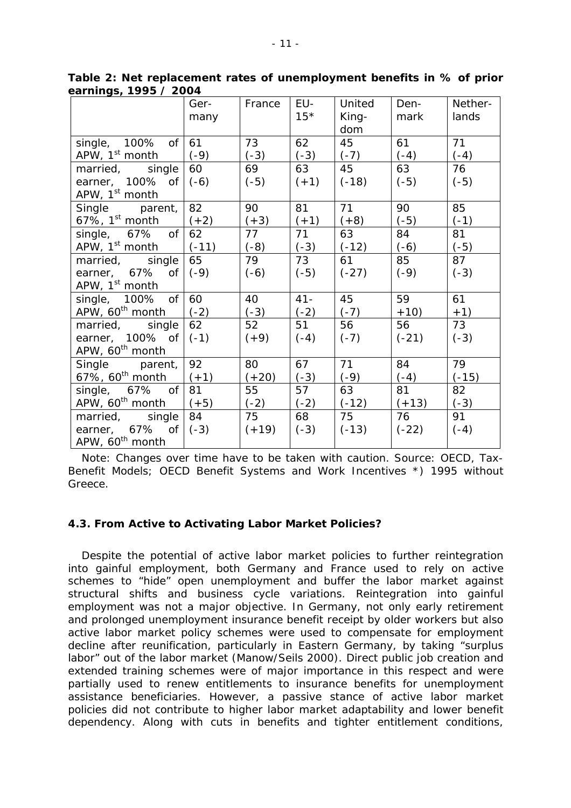|                             | Ger-<br>many | France  | EU-<br>$15*$ | United<br>King-<br>dom | Den-<br>mark | Nether-<br>lands |
|-----------------------------|--------------|---------|--------------|------------------------|--------------|------------------|
| single, 100%<br>Οf          | 61           | 73      | 62           | 45                     | 61           | 71               |
| APW, 1 <sup>st</sup> month  | $(-9)$       |         | $(-3)$       | $(-7)$                 | $(-4)$       | $(-4)$           |
|                             |              | $(-3)$  |              |                        |              |                  |
| married, single             | 60           | 69      | 63           | 45                     | 63           | 76               |
| earner, $100\%$ of          | $(-6)$       | $(-5)$  | $(+1)$       | $(-18)$                | $(-5)$       | $(-5)$           |
| APW, 1 <sup>st</sup> month  |              |         |              |                        |              |                  |
| Single parent,              | 82           | 90      | 81           | 71                     | 90           | 85               |
| 67%, $1^{st}$ month         | $(+2)$       | $(+3)$  | $(+1)$       | $(+8)$                 | $(-5)$       | $(-1)$           |
| of<br>single, 67%           | 62           | 77      | 71           | 63                     | 84           | 81               |
| APW, 1 <sup>st</sup> month  | $(-11)$      | $(-8)$  | $(-3)$       | $(-12)$                | $(-6)$       | $(-5)$           |
| married, single             | 65           | 79      | 73           | 61                     | 85           | 87               |
| earner, $67\%$ of           | $(-9)$       | $(-6)$  | $(-5)$       | $(-27)$                | $(-9)$       | $(-3)$           |
| APW, 1 <sup>st</sup> month  |              |         |              |                        |              |                  |
| single, $100\%$ of          | 60           | 40      | $41 -$       | 45                     | 59           | 61               |
| APW, 60 <sup>th</sup> month | $(-2)$       | $(-3)$  | $(-2)$       | $(-7)$                 | $+10)$       | $+1)$            |
| married, single             | 62           | 52      | 51           | 56                     | 56           | 73               |
| earner, $100\%$ of $(-1)$   |              | $(+9)$  | $(-4)$       | $(-7)$                 | $(-21)$      | $(-3)$           |
| APW, 60 <sup>th</sup> month |              |         |              |                        |              |                  |
| Single parent,              | 92           | 80      | 67           | 71                     | 84           | 79               |
| 67%, $60th$ month           | $(+1)$       | $(+20)$ | $(-3)$       | $(-9)$                 | $(-4)$       | $(-15)$          |
| single, 67% of              | 81           | 55      | 57           | 63                     | 81           | 82               |
| APW, 60 <sup>th</sup> month | $(+5)$       | $(-2)$  | $(-2)$       | $(-12)$                | $(+13)$      | $(-3)$           |
| married, single             | 84           | 75      | 68           | 75                     | 76           | 91               |
| earner, $67\%$ of           | $(-3)$       | $(+19)$ | $(-3)$       | $(-13)$                | $(-22)$      | $(-4)$           |
| APW, 60 <sup>th</sup> month |              |         |              |                        |              |                  |

**Table 2: Net replacement rates of unemployment benefits in % of prior earnings, 1995 / 2004** 

Note: Changes over time have to be taken with caution. Source: OECD, Tax-Benefit Models; OECD Benefit Systems and Work Incentives \*) 1995 without Greece.

#### *4.3. From Active to Activating Labor Market Policies?*

Despite the potential of active labor market policies to further reintegration into gainful employment, both Germany and France used to rely on active schemes to "hide" open unemployment and buffer the labor market against structural shifts and business cycle variations. Reintegration into gainful employment was not a major objective. In Germany, not only early retirement and prolonged unemployment insurance benefit receipt by older workers but also active labor market policy schemes were used to compensate for employment decline after reunification, particularly in Eastern Germany, by taking "surplus labor" out of the labor market (Manow/Seils 2000). Direct public job creation and extended training schemes were of major importance in this respect and were partially used to renew entitlements to insurance benefits for unemployment assistance beneficiaries. However, a passive stance of active labor market policies did not contribute to higher labor market adaptability and lower benefit dependency. Along with cuts in benefits and tighter entitlement conditions,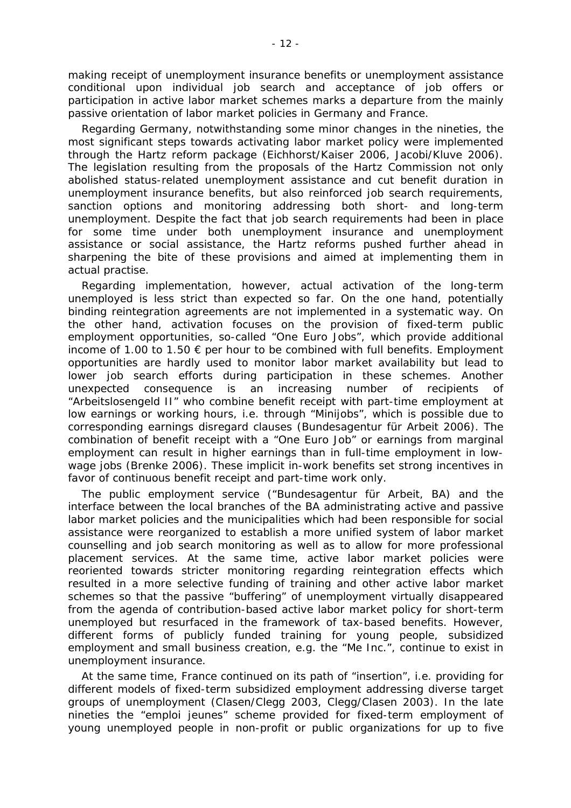making receipt of unemployment insurance benefits or unemployment assistance conditional upon individual job search and acceptance of job offers or participation in active labor market schemes marks a departure from the mainly passive orientation of labor market policies in Germany and France.

Regarding Germany, notwithstanding some minor changes in the nineties, the most significant steps towards activating labor market policy were implemented through the Hartz reform package (Eichhorst/Kaiser 2006, Jacobi/Kluve 2006). The legislation resulting from the proposals of the Hartz Commission not only abolished status-related unemployment assistance and cut benefit duration in unemployment insurance benefits, but also reinforced job search requirements, sanction options and monitoring addressing both short- and long-term unemployment. Despite the fact that job search requirements had been in place for some time under both unemployment insurance and unemployment assistance or social assistance, the Hartz reforms pushed further ahead in sharpening the bite of these provisions and aimed at implementing them in actual practise.

Regarding implementation, however, actual activation of the long-term unemployed is less strict than expected so far. On the one hand, potentially binding reintegration agreements are not implemented in a systematic way. On the other hand, activation focuses on the provision of fixed-term public employment opportunities, so-called "One Euro Jobs", which provide additional income of 1.00 to 1.50  $\epsilon$  per hour to be combined with full benefits. Employment opportunities are hardly used to monitor labor market availability but lead to lower job search efforts during participation in these schemes. Another unexpected consequence is an increasing number of recipients of "Arbeitslosengeld II" who combine benefit receipt with part-time employment at low earnings or working hours, i.e. through "Minijobs", which is possible due to corresponding earnings disregard clauses (Bundesagentur für Arbeit 2006). The combination of benefit receipt with a "One Euro Job" or earnings from marginal employment can result in higher earnings than in full-time employment in lowwage jobs (Brenke 2006). These implicit in-work benefits set strong incentives in favor of continuous benefit receipt and part-time work only.

The public employment service ("Bundesagentur für Arbeit, BA) and the interface between the local branches of the BA administrating active and passive labor market policies and the municipalities which had been responsible for social assistance were reorganized to establish a more unified system of labor market counselling and job search monitoring as well as to allow for more professional placement services. At the same time, active labor market policies were reoriented towards stricter monitoring regarding reintegration effects which resulted in a more selective funding of training and other active labor market schemes so that the passive "buffering" of unemployment virtually disappeared from the agenda of contribution-based active labor market policy for short-term unemployed but resurfaced in the framework of tax-based benefits. However, different forms of publicly funded training for young people, subsidized employment and small business creation, e.g. the "Me Inc.", continue to exist in unemployment insurance.

At the same time, France continued on its path of "insertion", i.e. providing for different models of fixed-term subsidized employment addressing diverse target groups of unemployment (Clasen/Clegg 2003, Clegg/Clasen 2003). In the late nineties the "emploi jeunes" scheme provided for fixed-term employment of young unemployed people in non-profit or public organizations for up to five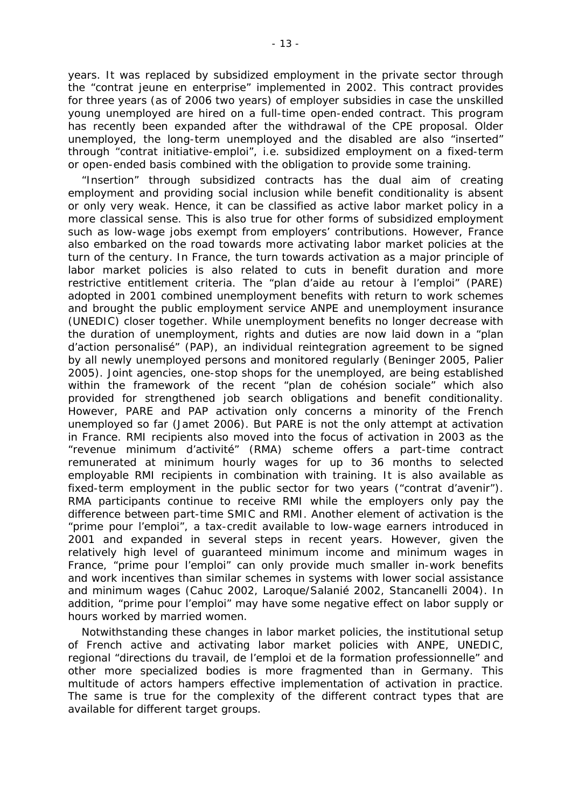years. It was replaced by subsidized employment in the private sector through the "contrat jeune en enterprise" implemented in 2002. This contract provides for three years (as of 2006 two years) of employer subsidies in case the unskilled young unemployed are hired on a full-time open-ended contract. This program has recently been expanded after the withdrawal of the CPE proposal. Older unemployed, the long-term unemployed and the disabled are also "inserted" through "contrat initiative-emploi", i.e. subsidized employment on a fixed-term or open-ended basis combined with the obligation to provide some training.

"Insertion" through subsidized contracts has the dual aim of creating employment and providing social inclusion while benefit conditionality is absent or only very weak. Hence, it can be classified as active labor market policy in a more classical sense. This is also true for other forms of subsidized employment such as low-wage jobs exempt from employers' contributions. However, France also embarked on the road towards more activating labor market policies at the turn of the century. In France, the turn towards activation as a major principle of labor market policies is also related to cuts in benefit duration and more restrictive entitlement criteria. The "plan d'aide au retour à l'emploi" (PARE) adopted in 2001 combined unemployment benefits with return to work schemes and brought the public employment service ANPE and unemployment insurance (UNEDIC) closer together. While unemployment benefits no longer decrease with the duration of unemployment, rights and duties are now laid down in a "plan d'action personalisé" (PAP), an individual reintegration agreement to be signed by all newly unemployed persons and monitored regularly (Beninger 2005, Palier 2005). Joint agencies, one-stop shops for the unemployed, are being established within the framework of the recent "plan de cohésion sociale" which also provided for strengthened job search obligations and benefit conditionality. However, PARE and PAP activation only concerns a minority of the French unemployed so far (Jamet 2006). But PARE is not the only attempt at activation in France. RMI recipients also moved into the focus of activation in 2003 as the "revenue minimum d'activité" (RMA) scheme offers a part-time contract remunerated at minimum hourly wages for up to 36 months to selected employable RMI recipients in combination with training. It is also available as fixed-term employment in the public sector for two years ("contrat d'avenir"). RMA participants continue to receive RMI while the employers only pay the difference between part-time SMIC and RMI. Another element of activation is the "prime pour l'emploi", a tax-credit available to low-wage earners introduced in 2001 and expanded in several steps in recent years. However, given the relatively high level of guaranteed minimum income and minimum wages in France, "prime pour l'emploi" can only provide much smaller in-work benefits and work incentives than similar schemes in systems with lower social assistance and minimum wages (Cahuc 2002, Laroque/Salanié 2002, Stancanelli 2004). In addition, "prime pour l'emploi" may have some negative effect on labor supply or hours worked by married women.

Notwithstanding these changes in labor market policies, the institutional setup of French active and activating labor market policies with ANPE, UNEDIC, regional "directions du travail, de l'emploi et de la formation professionnelle" and other more specialized bodies is more fragmented than in Germany. This multitude of actors hampers effective implementation of activation in practice. The same is true for the complexity of the different contract types that are available for different target groups.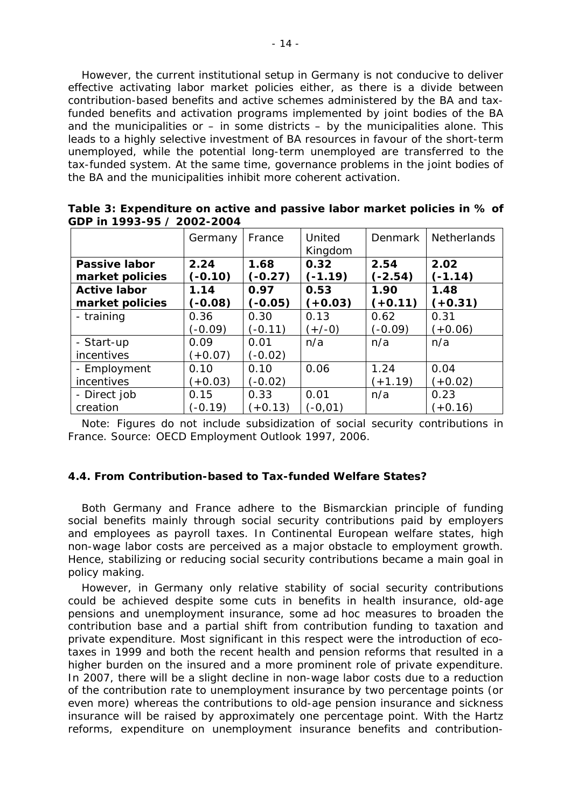However, the current institutional setup in Germany is not conducive to deliver effective activating labor market policies either, as there is a divide between contribution-based benefits and active schemes administered by the BA and taxfunded benefits and activation programs implemented by joint bodies of the BA and the municipalities or  $-$  in some districts  $-$  by the municipalities alone. This leads to a highly selective investment of BA resources in favour of the short-term unemployed, while the potential long-term unemployed are transferred to the tax-funded system. At the same time, governance problems in the joint bodies of the BA and the municipalities inhibit more coherent activation.

|                      | Germany   | France    | United<br>Kingdom | <b>Denmark</b> | <b>Netherlands</b> |
|----------------------|-----------|-----------|-------------------|----------------|--------------------|
| <b>Passive labor</b> | 2.24      | 1.68      | 0.32              | 2.54           | 2.02               |
| market policies      | $(-0.10)$ | $(-0.27)$ | $(-1.19)$         | $(-2.54)$      | $(-1.14)$          |
| <b>Active labor</b>  | 1.14      | 0.97      | 0.53              | 1.90           | 1.48               |
| market policies      | $(-0.08)$ | $(-0.05)$ | $(+0.03)$         | $(+0.11)$      | $(+0.31)$          |
| - training           | 0.36      | 0.30      | 0.13              | 0.62           | 0.31               |
|                      | $(-0.09)$ | $(-0.11)$ | $(+/-0)$          | $(-0.09)$      | $(+0.06)$          |
| - Start-up           | 0.09      | 0.01      | n/a               | n/a            | n/a                |
| incentives           | $(+0.07)$ | $(-0.02)$ |                   |                |                    |
| - Employment         | 0.10      | 0.10      | 0.06              | 1.24           | 0.04               |
| incentives           | $(+0.03)$ | $(-0.02)$ |                   | $(+1.19)$      | $(+0.02)$          |
| - Direct job         | 0.15      | 0.33      | 0.01              | n/a            | 0.23               |
| creation             | $(-0.19)$ | $(+0.13)$ | $(-0, 01)$        |                | $(+0.16)$          |

**Table 3: Expenditure on active and passive labor market policies in % of GDP in 1993-95 / 2002-2004** 

Note: Figures do not include subsidization of social security contributions in France. Source: OECD Employment Outlook 1997, 2006.

#### *4.4. From Contribution-based to Tax-funded Welfare States?*

Both Germany and France adhere to the Bismarckian principle of funding social benefits mainly through social security contributions paid by employers and employees as payroll taxes. In Continental European welfare states, high non-wage labor costs are perceived as a major obstacle to employment growth. Hence, stabilizing or reducing social security contributions became a main goal in policy making.

However, in Germany only relative stability of social security contributions could be achieved despite some cuts in benefits in health insurance, old-age pensions and unemployment insurance, some ad hoc measures to broaden the contribution base and a partial shift from contribution funding to taxation and private expenditure. Most significant in this respect were the introduction of ecotaxes in 1999 and both the recent health and pension reforms that resulted in a higher burden on the insured and a more prominent role of private expenditure. In 2007, there will be a slight decline in non-wage labor costs due to a reduction of the contribution rate to unemployment insurance by two percentage points (or even more) whereas the contributions to old-age pension insurance and sickness insurance will be raised by approximately one percentage point. With the Hartz reforms, expenditure on unemployment insurance benefits and contribution-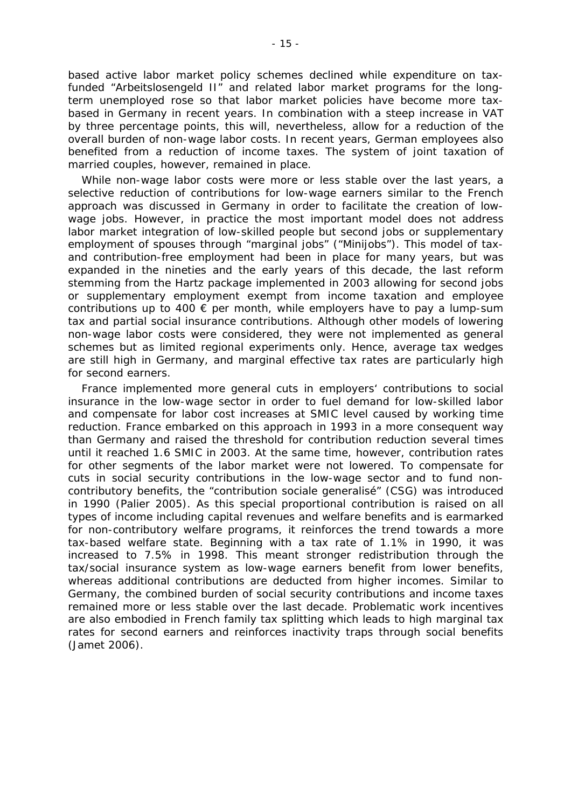based active labor market policy schemes declined while expenditure on taxfunded "Arbeitslosengeld II" and related labor market programs for the longterm unemployed rose so that labor market policies have become more taxbased in Germany in recent years. In combination with a steep increase in VAT by three percentage points, this will, nevertheless, allow for a reduction of the overall burden of non-wage labor costs. In recent years, German employees also benefited from a reduction of income taxes. The system of joint taxation of married couples, however, remained in place.

While non-wage labor costs were more or less stable over the last years, a selective reduction of contributions for low-wage earners similar to the French approach was discussed in Germany in order to facilitate the creation of lowwage jobs. However, in practice the most important model does not address labor market integration of low-skilled people but second jobs or supplementary employment of spouses through "marginal jobs" ("Minijobs"). This model of taxand contribution-free employment had been in place for many years, but was expanded in the nineties and the early years of this decade, the last reform stemming from the Hartz package implemented in 2003 allowing for second jobs or supplementary employment exempt from income taxation and employee contributions up to 400  $\epsilon$  per month, while employers have to pay a lump-sum tax and partial social insurance contributions. Although other models of lowering non-wage labor costs were considered, they were not implemented as general schemes but as limited regional experiments only. Hence, average tax wedges are still high in Germany, and marginal effective tax rates are particularly high for second earners.

France implemented more general cuts in employers' contributions to social insurance in the low-wage sector in order to fuel demand for low-skilled labor and compensate for labor cost increases at SMIC level caused by working time reduction. France embarked on this approach in 1993 in a more consequent way than Germany and raised the threshold for contribution reduction several times until it reached 1.6 SMIC in 2003. At the same time, however, contribution rates for other segments of the labor market were not lowered. To compensate for cuts in social security contributions in the low-wage sector and to fund noncontributory benefits, the "contribution sociale generalisé" (CSG) was introduced in 1990 (Palier 2005). As this special proportional contribution is raised on all types of income including capital revenues and welfare benefits and is earmarked for non-contributory welfare programs, it reinforces the trend towards a more tax-based welfare state. Beginning with a tax rate of 1.1% in 1990, it was increased to 7.5% in 1998. This meant stronger redistribution through the tax/social insurance system as low-wage earners benefit from lower benefits, whereas additional contributions are deducted from higher incomes. Similar to Germany, the combined burden of social security contributions and income taxes remained more or less stable over the last decade. Problematic work incentives are also embodied in French family tax splitting which leads to high marginal tax rates for second earners and reinforces inactivity traps through social benefits (Jamet 2006).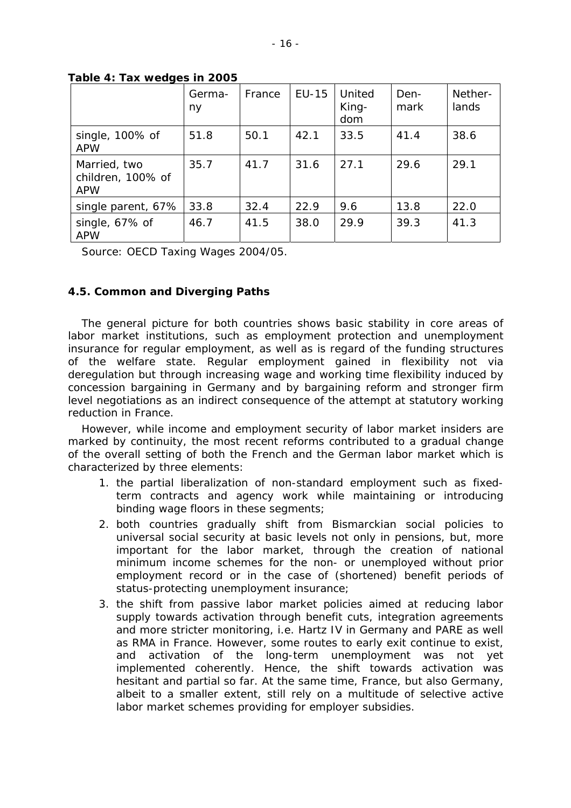|                                                 | Germa-<br>ny | France | EU-15 | United<br>King-<br>dom | Den-<br>mark | Nether-<br>lands |
|-------------------------------------------------|--------------|--------|-------|------------------------|--------------|------------------|
| single, 100% of<br><b>APW</b>                   | 51.8         | 50.1   | 42.1  | 33.5                   | 41.4         | 38.6             |
| Married, two<br>children, 100% of<br><b>APW</b> | 35.7         | 41.7   | 31.6  | 27.1                   | 29.6         | 29.1             |
| single parent, 67%                              | 33.8         | 32.4   | 22.9  | 9.6                    | 13.8         | 22.0             |
| single, 67% of<br><b>APW</b>                    | 46.7         | 41.5   | 38.0  | 29.9                   | 39.3         | 41.3             |

**Table 4: Tax wedges in 2005** 

Source: OECD Taxing Wages 2004/05.

#### *4.5. Common and Diverging Paths*

The general picture for both countries shows basic stability in core areas of labor market institutions, such as employment protection and unemployment insurance for regular employment, as well as is regard of the funding structures of the welfare state. Regular employment gained in flexibility not via deregulation but through increasing wage and working time flexibility induced by concession bargaining in Germany and by bargaining reform and stronger firm level negotiations as an indirect consequence of the attempt at statutory working reduction in France.

However, while income and employment security of labor market insiders are marked by continuity, the most recent reforms contributed to a gradual change of the overall setting of both the French and the German labor market which is characterized by three elements:

- 1. the partial liberalization of non-standard employment such as fixedterm contracts and agency work while maintaining or introducing binding wage floors in these segments;
- 2. both countries gradually shift from Bismarckian social policies to universal social security at basic levels not only in pensions, but, more important for the labor market, through the creation of national minimum income schemes for the non- or unemployed without prior employment record or in the case of (shortened) benefit periods of status-protecting unemployment insurance;
- 3. the shift from passive labor market policies aimed at reducing labor supply towards activation through benefit cuts, integration agreements and more stricter monitoring, i.e. Hartz IV in Germany and PARE as well as RMA in France. However, some routes to early exit continue to exist, and activation of the long-term unemployment was not yet implemented coherently. Hence, the shift towards activation was hesitant and partial so far. At the same time, France, but also Germany, albeit to a smaller extent, still rely on a multitude of selective active labor market schemes providing for employer subsidies.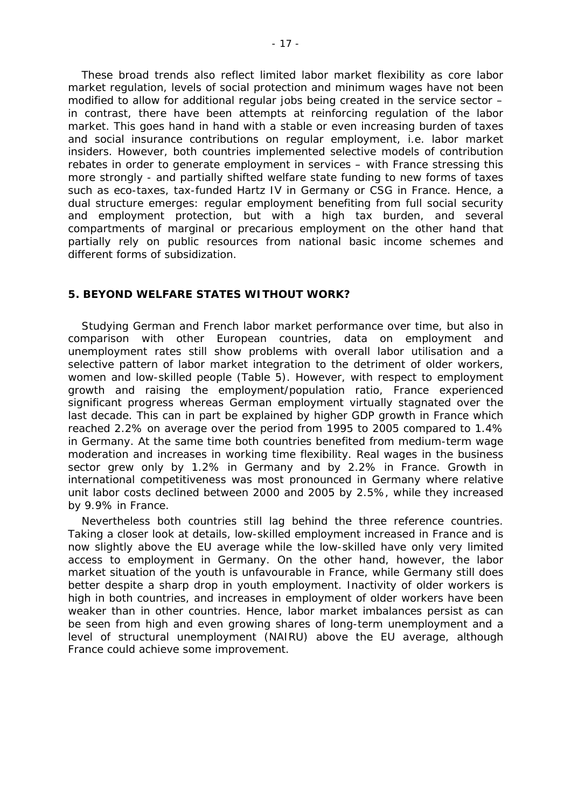These broad trends also reflect limited labor market flexibility as core labor market regulation, levels of social protection and minimum wages have not been modified to allow for additional regular jobs being created in the service sector – in contrast, there have been attempts at reinforcing regulation of the labor market. This goes hand in hand with a stable or even increasing burden of taxes and social insurance contributions on regular employment, i.e. labor market insiders. However, both countries implemented selective models of contribution rebates in order to generate employment in services – with France stressing this more strongly - and partially shifted welfare state funding to new forms of taxes such as eco-taxes, tax-funded Hartz IV in Germany or CSG in France. Hence, a dual structure emerges: regular employment benefiting from full social security and employment protection, but with a high tax burden, and several compartments of marginal or precarious employment on the other hand that partially rely on public resources from national basic income schemes and different forms of subsidization.

#### **5. BEYOND WELFARE STATES WITHOUT WORK?**

Studying German and French labor market performance over time, but also in comparison with other European countries, data on employment and unemployment rates still show problems with overall labor utilisation and a selective pattern of labor market integration to the detriment of older workers, women and low-skilled people (Table 5). However, with respect to employment growth and raising the employment/population ratio, France experienced significant progress whereas German employment virtually stagnated over the last decade. This can in part be explained by higher GDP growth in France which reached 2.2% on average over the period from 1995 to 2005 compared to 1.4% in Germany. At the same time both countries benefited from medium-term wage moderation and increases in working time flexibility. Real wages in the business sector grew only by 1.2% in Germany and by 2.2% in France. Growth in international competitiveness was most pronounced in Germany where relative unit labor costs declined between 2000 and 2005 by 2.5%, while they increased by 9.9% in France.

Nevertheless both countries still lag behind the three reference countries. Taking a closer look at details, low-skilled employment increased in France and is now slightly above the EU average while the low-skilled have only very limited access to employment in Germany. On the other hand, however, the labor market situation of the youth is unfavourable in France, while Germany still does better despite a sharp drop in youth employment. Inactivity of older workers is high in both countries, and increases in employment of older workers have been weaker than in other countries. Hence, labor market imbalances persist as can be seen from high and even growing shares of long-term unemployment and a level of structural unemployment (NAIRU) above the EU average, although France could achieve some improvement.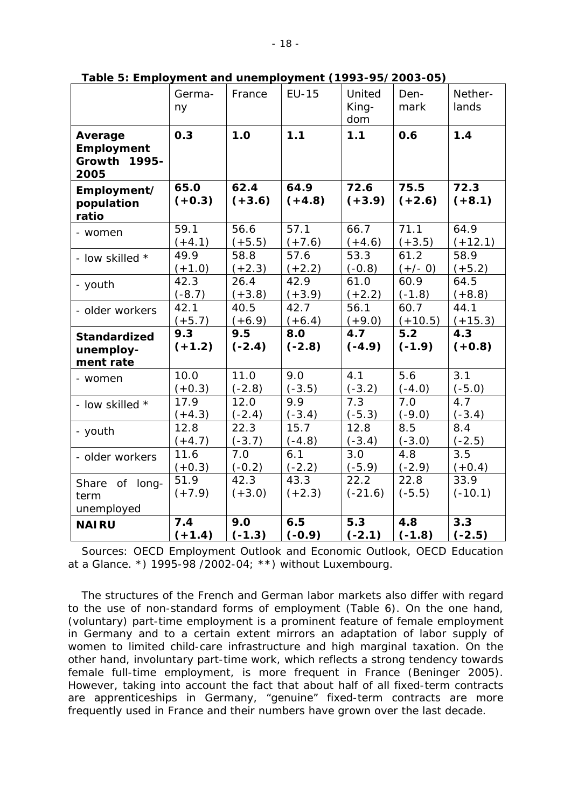|                                                         | Germa-<br>ny     | France           | <b>EU-15</b>     | United<br>King-<br>dom | Den-<br>mark     | Nether-<br>lands  |
|---------------------------------------------------------|------------------|------------------|------------------|------------------------|------------------|-------------------|
| Average<br><b>Employment</b><br>Growth<br>1995-<br>2005 | 0.3              | 1.0              | 1.1              | 1.1                    | 0.6              | 1.4               |
| Employment/<br>population<br>ratio                      | 65.0<br>$(+0.3)$ | 62.4<br>$(+3.6)$ | 64.9<br>$(+4.8)$ | 72.6<br>$(+3.9)$       | 75.5<br>$(+2.6)$ | 72.3<br>$(+8.1)$  |
| - women                                                 | 59.1             | 56.6             | 57.1             | 66.7                   | 71.1             | 64.9              |
|                                                         | $(+4.1)$         | $(+5.5)$         | $(+7.6)$         | $(+4.6)$               | $(+3.5)$         | $(+12.1)$         |
| - low skilled *                                         | 49.9             | 58.8             | 57.6             | 53.3                   | 61.2             | 58.9              |
|                                                         | $(+1.0)$         | $(+2.3)$         | $(+2.2)$         | $(-0.8)$               | $(+/- 0)$        | $(+5.2)$          |
| - youth                                                 | 42.3             | 26.4             | 42.9             | 61.0                   | 60.9             | 64.5              |
|                                                         | $(-8.7)$         | $(+3.8)$         | $(+3.9)$         | $(+2.2)$               | $(-1.8)$         | $(+8.8)$          |
| - older workers                                         | 42.1             | 40.5             | 42.7             | 56.1                   | 60.7             | 44.1              |
|                                                         | $(+5.7)$         | $(+6.9)$         | $(+6.4)$         | $(+9.0)$               | $(+10.5)$        | $(+15.3)$         |
| <b>Standardized</b><br>unemploy-<br>ment rate           | 9.3<br>$(+1.2)$  | 9.5<br>$(-2.4)$  | 8.0<br>$(-2.8)$  | 4.7<br>$(-4.9)$        | 5.2<br>$(-1.9)$  | 4.3<br>$(+0.8)$   |
| - women                                                 | 10.0             | 11.0             | 9.0              | 4.1                    | 5.6              | 3.1               |
|                                                         | $(+0.3)$         | $(-2.8)$         | $(-3.5)$         | $(-3.2)$               | $(-4.0)$         | $(-5.0)$          |
| - low skilled *                                         | 17.9             | 12.0             | 9.9              | 7.3                    | 7.0              | 4.7               |
|                                                         | $(+4.3)$         | $(-2.4)$         | $(-3.4)$         | $(-5.3)$               | $(-9.0)$         | $(-3.4)$          |
| - youth                                                 | 12.8             | 22.3             | 15.7             | 12.8                   | 8.5              | 8.4               |
|                                                         | $(+4.7)$         | $(-3.7)$         | $(-4.8)$         | $(-3.4)$               | $(-3.0)$         | $(-2.5)$          |
| - older workers                                         | 11.6             | 7.0              | 6.1              | 3.0                    | 4.8              | 3.5               |
|                                                         | $(+0.3)$         | $(-0.2)$         | $(-2.2)$         | $(-5.9)$               | $(-2.9)$         | $(+0.4)$          |
| Share of long-<br>term<br>unemployed                    | 51.9<br>$(+7.9)$ | 42.3<br>$(+3.0)$ | 43.3<br>$(+2.3)$ | 22.2<br>$(-21.6)$      | 22.8<br>$(-5.5)$ | 33.9<br>$(-10.1)$ |
| <b>NAIRU</b>                                            | 7.4              | 9.0              | 6.5              | 5.3                    | 4.8              | 3.3               |
|                                                         | $(+1.4)$         | $(-1.3)$         | $(-0.9)$         | $(-2.1)$               | $(-1.8)$         | $(-2.5)$          |

**Table 5: Employment and unemployment (1993-95/2003-05)** 

Sources: OECD Employment Outlook and Economic Outlook, OECD Education at a Glance. \*) 1995-98 /2002-04; \*\*) without Luxembourg.

The structures of the French and German labor markets also differ with regard to the use of non-standard forms of employment (Table 6). On the one hand, (voluntary) part-time employment is a prominent feature of female employment in Germany and to a certain extent mirrors an adaptation of labor supply of women to limited child-care infrastructure and high marginal taxation. On the other hand, involuntary part-time work, which reflects a strong tendency towards female full-time employment, is more frequent in France (Beninger 2005). However, taking into account the fact that about half of all fixed-term contracts are apprenticeships in Germany, "genuine" fixed-term contracts are more frequently used in France and their numbers have grown over the last decade.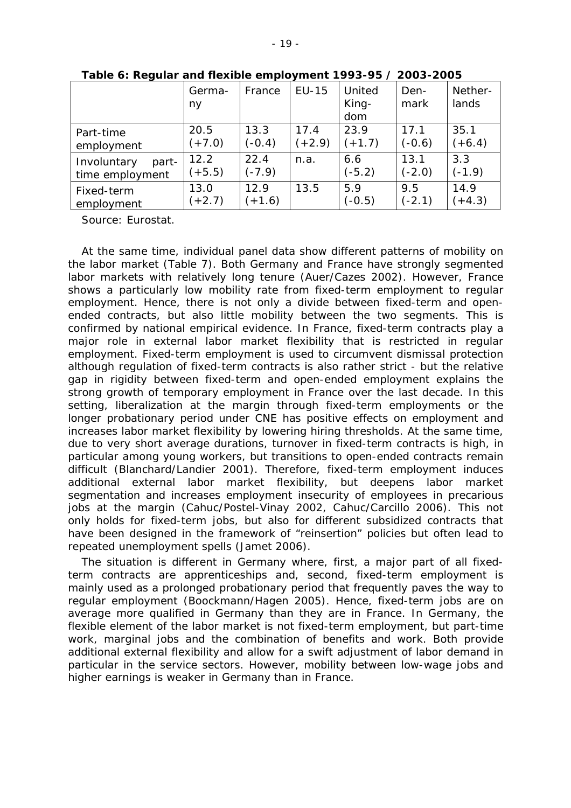|                                         | Germa-<br>ny     | France           | $EU-15$  | United<br>King-<br>dom | Den-<br>mark     | Nether-<br>lands |
|-----------------------------------------|------------------|------------------|----------|------------------------|------------------|------------------|
| Part-time                               | 20.5             | 13.3             | 17.4     | 23.9                   | 17.1             | 35.1             |
| employment                              | $(+7.0)$         | $(-0.4)$         | $(+2.9)$ | $(+1.7)$               | $(-0.6)$         | $(+6.4)$         |
| Involuntary<br>part-<br>time employment | 12.2<br>$(+5.5)$ | 22.4<br>$(-7.9)$ | n.a.     | 6.6<br>$(-5.2)$        | 13.1<br>$(-2.0)$ | 3.3<br>$(-1.9)$  |
| Fixed-term                              | 13.0             | 12.9             | 13.5     | 5.9                    | 9.5              | 14.9             |
| employment                              | $(+2.7)$         | $(+1.6)$         |          | $(-0.5)$               | $(-2.1)$         | $(+4.3)$         |

**Table 6: Regular and flexible employment 1993-95 / 2003-2005** 

Source: Eurostat.

At the same time, individual panel data show different patterns of mobility on the labor market (Table 7). Both Germany and France have strongly segmented labor markets with relatively long tenure (Auer/Cazes 2002). However, France shows a particularly low mobility rate from fixed-term employment to regular employment. Hence, there is not only a divide between fixed-term and openended contracts, but also little mobility between the two segments. This is confirmed by national empirical evidence. In France, fixed-term contracts play a major role in external labor market flexibility that is restricted in regular employment. Fixed-term employment is used to circumvent dismissal protection although regulation of fixed-term contracts is also rather strict - but the relative gap in rigidity between fixed-term and open-ended employment explains the strong growth of temporary employment in France over the last decade. In this setting, liberalization at the margin through fixed-term employments or the longer probationary period under CNE has positive effects on employment and increases labor market flexibility by lowering hiring thresholds. At the same time, due to very short average durations, turnover in fixed-term contracts is high, in particular among young workers, but transitions to open-ended contracts remain difficult (Blanchard/Landier 2001). Therefore, fixed-term employment induces additional external labor market flexibility, but deepens labor market segmentation and increases employment insecurity of employees in precarious jobs at the margin (Cahuc/Postel-Vinay 2002, Cahuc/Carcillo 2006). This not only holds for fixed-term jobs, but also for different subsidized contracts that have been designed in the framework of "reinsertion" policies but often lead to repeated unemployment spells (Jamet 2006).

The situation is different in Germany where, first, a major part of all fixedterm contracts are apprenticeships and, second, fixed-term employment is mainly used as a prolonged probationary period that frequently paves the way to regular employment (Boockmann/Hagen 2005). Hence, fixed-term jobs are on average more qualified in Germany than they are in France. In Germany, the flexible element of the labor market is not fixed-term employment, but part-time work, marginal jobs and the combination of benefits and work. Both provide additional external flexibility and allow for a swift adjustment of labor demand in particular in the service sectors. However, mobility between low-wage jobs and higher earnings is weaker in Germany than in France.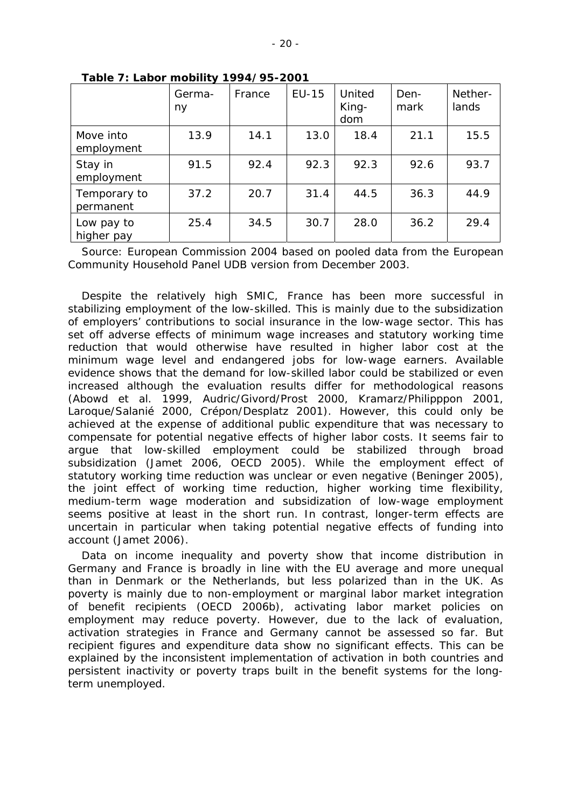|                           | Germa-<br>ny | France | $EU-15$ | United<br>King-<br>dom | Den-<br>mark | Nether-<br>lands |
|---------------------------|--------------|--------|---------|------------------------|--------------|------------------|
| Move into<br>employment   | 13.9         | 14.1   | 13.0    | 18.4                   | 21.1         | 15.5             |
| Stay in<br>employment     | 91.5         | 92.4   | 92.3    | 92.3                   | 92.6         | 93.7             |
| Temporary to<br>permanent | 37.2         | 20.7   | 31.4    | 44.5                   | 36.3         | 44.9             |
| Low pay to<br>higher pay  | 25.4         | 34.5   | 30.7    | 28.0                   | 36.2         | 29.4             |

**Table 7: Labor mobility 1994/95-2001** 

Source: European Commission 2004 based on pooled data from the European Community Household Panel UDB version from December 2003.

Despite the relatively high SMIC, France has been more successful in stabilizing employment of the low-skilled. This is mainly due to the subsidization of employers' contributions to social insurance in the low-wage sector. This has set off adverse effects of minimum wage increases and statutory working time reduction that would otherwise have resulted in higher labor cost at the minimum wage level and endangered jobs for low-wage earners. Available evidence shows that the demand for low-skilled labor could be stabilized or even increased although the evaluation results differ for methodological reasons (Abowd et al. 1999, Audric/Givord/Prost 2000, Kramarz/Philipppon 2001, Laroque/Salanié 2000, Crépon/Desplatz 2001). However, this could only be achieved at the expense of additional public expenditure that was necessary to compensate for potential negative effects of higher labor costs. It seems fair to argue that low-skilled employment could be stabilized through broad subsidization (Jamet 2006, OECD 2005). While the employment effect of statutory working time reduction was unclear or even negative (Beninger 2005), the joint effect of working time reduction, higher working time flexibility, medium-term wage moderation and subsidization of low-wage employment seems positive at least in the short run. In contrast, longer-term effects are uncertain in particular when taking potential negative effects of funding into account (Jamet 2006).

Data on income inequality and poverty show that income distribution in Germany and France is broadly in line with the EU average and more unequal than in Denmark or the Netherlands, but less polarized than in the UK. As poverty is mainly due to non-employment or marginal labor market integration of benefit recipients (OECD 2006b), activating labor market policies on employment may reduce poverty. However, due to the lack of evaluation, activation strategies in France and Germany cannot be assessed so far. But recipient figures and expenditure data show no significant effects. This can be explained by the inconsistent implementation of activation in both countries and persistent inactivity or poverty traps built in the benefit systems for the longterm unemployed.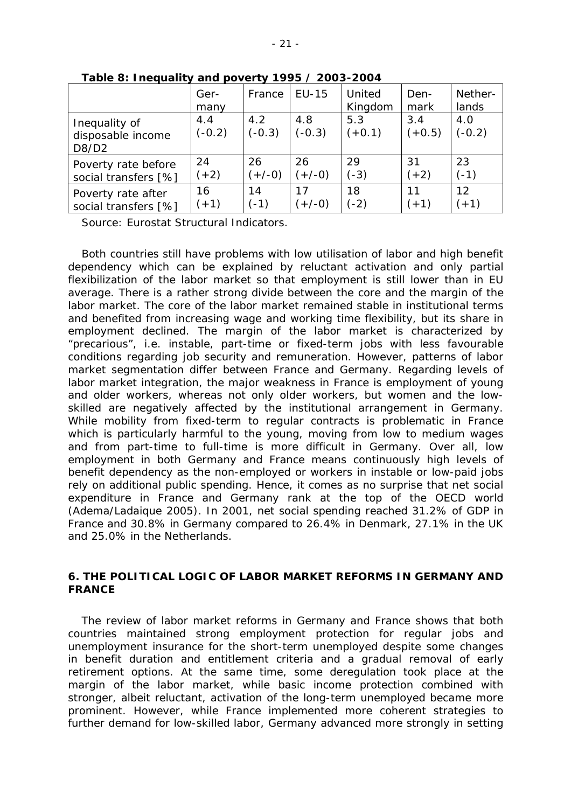|                                             | Ger-<br>many    | France          | EU-15           | United<br>Kingdom | Den-<br>mark    | Nether-<br>lands |
|---------------------------------------------|-----------------|-----------------|-----------------|-------------------|-----------------|------------------|
| Inequality of<br>disposable income<br>D8/D2 | 4.4<br>$(-0.2)$ | 4.2<br>$(-0.3)$ | 4.8<br>$(-0.3)$ | 5.3<br>$(+0.1)$   | 3.4<br>$(+0.5)$ | 4.0<br>$(-0.2)$  |
| Poverty rate before                         | 24              | 26              | 26              | 29                | 31              | 23               |
| social transfers [%]                        | $(+2)$          | $(+/-0)$        | $(+/-0)$        | $(-3)$            | $(+2)$          | $(-1)$           |
| Poverty rate after                          | 16              | 14              | 17              | 18                | 11              | 12               |
| social transfers [%]                        | $(+1)$          | $(-1)$          | $(+/-0)$        | $(-2)$            | $(+1)$          | $(+1)$           |

**Table 8: Inequality and poverty 1995 / 2003-2004** 

Source: Eurostat Structural Indicators.

Both countries still have problems with low utilisation of labor and high benefit dependency which can be explained by reluctant activation and only partial flexibilization of the labor market so that employment is still lower than in EU average. There is a rather strong divide between the core and the margin of the labor market. The core of the labor market remained stable in institutional terms and benefited from increasing wage and working time flexibility, but its share in employment declined. The margin of the labor market is characterized by "precarious", i.e. instable, part-time or fixed-term jobs with less favourable conditions regarding job security and remuneration. However, patterns of labor market segmentation differ between France and Germany. Regarding levels of labor market integration, the major weakness in France is employment of young and older workers, whereas not only older workers, but women and the lowskilled are negatively affected by the institutional arrangement in Germany. While mobility from fixed-term to regular contracts is problematic in France which is particularly harmful to the young, moving from low to medium wages and from part-time to full-time is more difficult in Germany. Over all, low employment in both Germany and France means continuously high levels of benefit dependency as the non-employed or workers in instable or low-paid jobs rely on additional public spending. Hence, it comes as no surprise that net social expenditure in France and Germany rank at the top of the OECD world (Adema/Ladaique 2005). In 2001, net social spending reached 31.2% of GDP in France and 30.8% in Germany compared to 26.4% in Denmark, 27.1% in the UK and 25.0% in the Netherlands.

#### **6. THE POLITICAL LOGIC OF LABOR MARKET REFORMS IN GERMANY AND FRANCE**

The review of labor market reforms in Germany and France shows that both countries maintained strong employment protection for regular jobs and unemployment insurance for the short-term unemployed despite some changes in benefit duration and entitlement criteria and a gradual removal of early retirement options. At the same time, some deregulation took place at the margin of the labor market, while basic income protection combined with stronger, albeit reluctant, activation of the long-term unemployed became more prominent. However, while France implemented more coherent strategies to further demand for low-skilled labor, Germany advanced more strongly in setting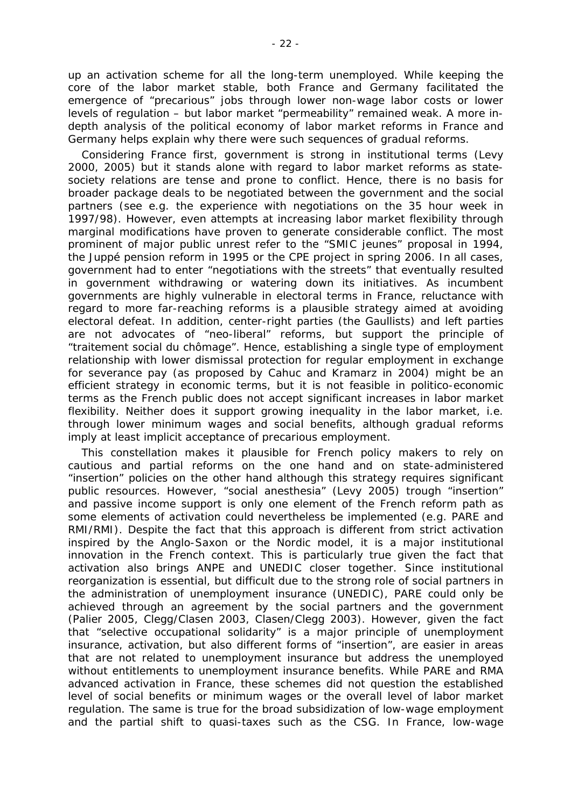up an activation scheme for all the long-term unemployed. While keeping the core of the labor market stable, both France and Germany facilitated the emergence of "precarious" jobs through lower non-wage labor costs or lower levels of regulation – but labor market "permeability" remained weak. A more indepth analysis of the political economy of labor market reforms in France and Germany helps explain why there were such sequences of gradual reforms.

Considering France first, government is strong in institutional terms (Levy 2000, 2005) but it stands alone with regard to labor market reforms as statesociety relations are tense and prone to conflict. Hence, there is no basis for broader package deals to be negotiated between the government and the social partners (see e.g. the experience with negotiations on the 35 hour week in 1997/98). However, even attempts at increasing labor market flexibility through marginal modifications have proven to generate considerable conflict. The most prominent of major public unrest refer to the "SMIC jeunes" proposal in 1994, the Juppé pension reform in 1995 or the CPE project in spring 2006. In all cases, government had to enter "negotiations with the streets" that eventually resulted in government withdrawing or watering down its initiatives. As incumbent governments are highly vulnerable in electoral terms in France, reluctance with regard to more far-reaching reforms is a plausible strategy aimed at avoiding electoral defeat. In addition, center-right parties (the Gaullists) and left parties are not advocates of "neo-liberal" reforms, but support the principle of "traitement social du chômage". Hence, establishing a single type of employment relationship with lower dismissal protection for regular employment in exchange for severance pay (as proposed by Cahuc and Kramarz in 2004) might be an efficient strategy in economic terms, but it is not feasible in politico-economic terms as the French public does not accept significant increases in labor market flexibility. Neither does it support growing inequality in the labor market, i.e. through lower minimum wages and social benefits, although gradual reforms imply at least implicit acceptance of precarious employment.

This constellation makes it plausible for French policy makers to rely on cautious and partial reforms on the one hand and on state-administered "insertion" policies on the other hand although this strategy requires significant public resources. However, "social anesthesia" (Levy 2005) trough "insertion" and passive income support is only one element of the French reform path as some elements of activation could nevertheless be implemented (e.g. PARE and RMI/RMI). Despite the fact that this approach is different from strict activation inspired by the Anglo-Saxon or the Nordic model, it is a major institutional innovation in the French context. This is particularly true given the fact that activation also brings ANPE and UNEDIC closer together. Since institutional reorganization is essential, but difficult due to the strong role of social partners in the administration of unemployment insurance (UNEDIC), PARE could only be achieved through an agreement by the social partners and the government (Palier 2005, Clegg/Clasen 2003, Clasen/Clegg 2003). However, given the fact that "selective occupational solidarity" is a major principle of unemployment insurance, activation, but also different forms of "insertion", are easier in areas that are not related to unemployment insurance but address the unemployed without entitlements to unemployment insurance benefits. While PARE and RMA advanced activation in France, these schemes did not question the established level of social benefits or minimum wages or the overall level of labor market regulation. The same is true for the broad subsidization of low-wage employment and the partial shift to quasi-taxes such as the CSG. In France, low-wage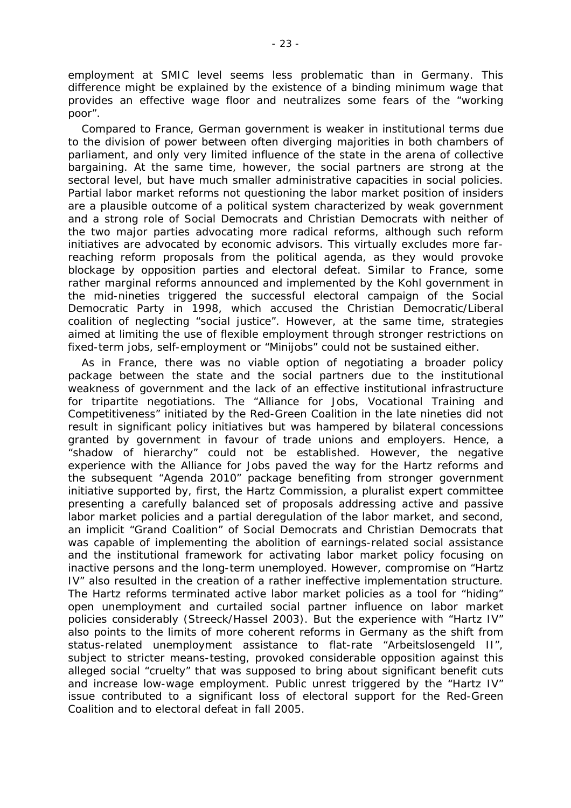employment at SMIC level seems less problematic than in Germany. This difference might be explained by the existence of a binding minimum wage that provides an effective wage floor and neutralizes some fears of the "working poor".

Compared to France, German government is weaker in institutional terms due to the division of power between often diverging majorities in both chambers of parliament, and only very limited influence of the state in the arena of collective bargaining. At the same time, however, the social partners are strong at the sectoral level, but have much smaller administrative capacities in social policies. Partial labor market reforms not questioning the labor market position of insiders are a plausible outcome of a political system characterized by weak government and a strong role of Social Democrats and Christian Democrats with neither of the two major parties advocating more radical reforms, although such reform initiatives are advocated by economic advisors. This virtually excludes more farreaching reform proposals from the political agenda, as they would provoke blockage by opposition parties and electoral defeat. Similar to France, some rather marginal reforms announced and implemented by the Kohl government in the mid-nineties triggered the successful electoral campaign of the Social Democratic Party in 1998, which accused the Christian Democratic/Liberal coalition of neglecting "social justice". However, at the same time, strategies aimed at limiting the use of flexible employment through stronger restrictions on fixed-term jobs, self-employment or "Minijobs" could not be sustained either.

As in France, there was no viable option of negotiating a broader policy package between the state and the social partners due to the institutional weakness of government and the lack of an effective institutional infrastructure for tripartite negotiations. The "Alliance for Jobs, Vocational Training and Competitiveness" initiated by the Red-Green Coalition in the late nineties did not result in significant policy initiatives but was hampered by bilateral concessions granted by government in favour of trade unions and employers. Hence, a "shadow of hierarchy" could not be established. However, the negative experience with the Alliance for Jobs paved the way for the Hartz reforms and the subsequent "Agenda 2010" package benefiting from stronger government initiative supported by, first, the Hartz Commission, a pluralist expert committee presenting a carefully balanced set of proposals addressing active and passive labor market policies and a partial deregulation of the labor market, and second, an implicit "Grand Coalition" of Social Democrats and Christian Democrats that was capable of implementing the abolition of earnings-related social assistance and the institutional framework for activating labor market policy focusing on inactive persons and the long-term unemployed. However, compromise on "Hartz IV" also resulted in the creation of a rather ineffective implementation structure. The Hartz reforms terminated active labor market policies as a tool for "hiding" open unemployment and curtailed social partner influence on labor market policies considerably (Streeck/Hassel 2003). But the experience with "Hartz IV" also points to the limits of more coherent reforms in Germany as the shift from status-related unemployment assistance to flat-rate "Arbeitslosengeld II", subject to stricter means-testing, provoked considerable opposition against this alleged social "cruelty" that was supposed to bring about significant benefit cuts and increase low-wage employment. Public unrest triggered by the "Hartz IV" issue contributed to a significant loss of electoral support for the Red-Green Coalition and to electoral defeat in fall 2005.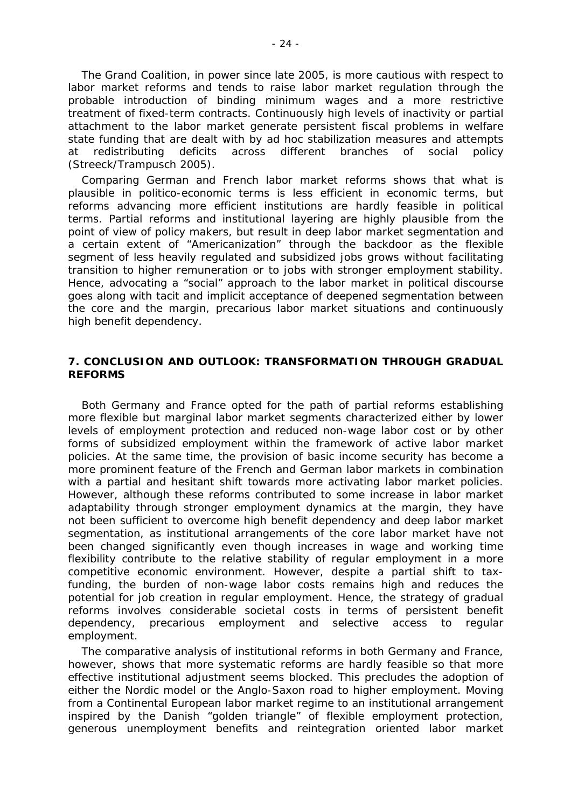The Grand Coalition, in power since late 2005, is more cautious with respect to labor market reforms and tends to raise labor market regulation through the probable introduction of binding minimum wages and a more restrictive treatment of fixed-term contracts. Continuously high levels of inactivity or partial attachment to the labor market generate persistent fiscal problems in welfare state funding that are dealt with by ad hoc stabilization measures and attempts at redistributing deficits across different branches of social policy (Streeck/Trampusch 2005).

Comparing German and French labor market reforms shows that what is plausible in politico-economic terms is less efficient in economic terms, but reforms advancing more efficient institutions are hardly feasible in political terms. Partial reforms and institutional layering are highly plausible from the point of view of policy makers, but result in deep labor market segmentation and a certain extent of "Americanization" through the backdoor as the flexible segment of less heavily regulated and subsidized jobs grows without facilitating transition to higher remuneration or to jobs with stronger employment stability. Hence, advocating a "social" approach to the labor market in political discourse goes along with tacit and implicit acceptance of deepened segmentation between the core and the margin, precarious labor market situations and continuously high benefit dependency.

#### **7. CONCLUSION AND OUTLOOK: TRANSFORMATION THROUGH GRADUAL REFORMS**

Both Germany and France opted for the path of partial reforms establishing more flexible but marginal labor market segments characterized either by lower levels of employment protection and reduced non-wage labor cost or by other forms of subsidized employment within the framework of active labor market policies. At the same time, the provision of basic income security has become a more prominent feature of the French and German labor markets in combination with a partial and hesitant shift towards more activating labor market policies. However, although these reforms contributed to some increase in labor market adaptability through stronger employment dynamics at the margin, they have not been sufficient to overcome high benefit dependency and deep labor market segmentation, as institutional arrangements of the core labor market have not been changed significantly even though increases in wage and working time flexibility contribute to the relative stability of regular employment in a more competitive economic environment. However, despite a partial shift to taxfunding, the burden of non-wage labor costs remains high and reduces the potential for job creation in regular employment. Hence, the strategy of gradual reforms involves considerable societal costs in terms of persistent benefit dependency, precarious employment and selective access to regular employment.

The comparative analysis of institutional reforms in both Germany and France, however, shows that more systematic reforms are hardly feasible so that more effective institutional adjustment seems blocked. This precludes the adoption of either the Nordic model or the Anglo-Saxon road to higher employment. Moving from a Continental European labor market regime to an institutional arrangement inspired by the Danish "golden triangle" of flexible employment protection, generous unemployment benefits and reintegration oriented labor market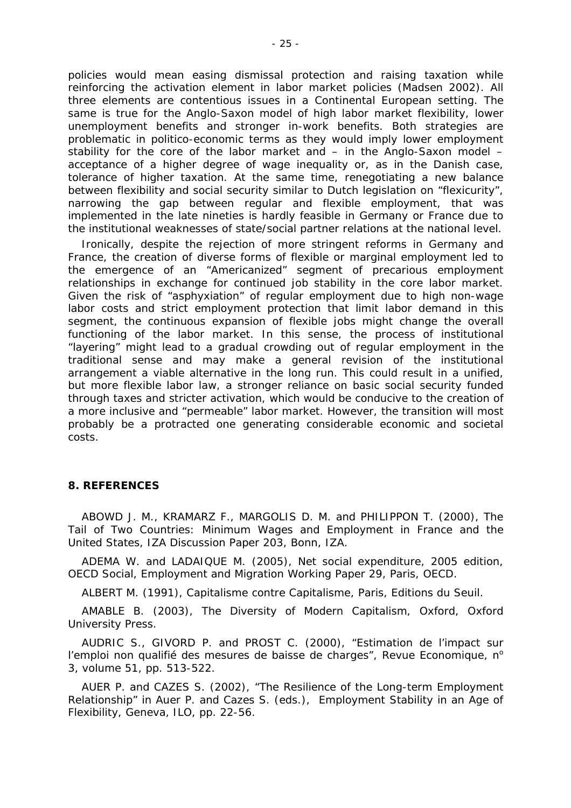policies would mean easing dismissal protection and raising taxation while reinforcing the activation element in labor market policies (Madsen 2002). All three elements are contentious issues in a Continental European setting. The same is true for the Anglo-Saxon model of high labor market flexibility, lower unemployment benefits and stronger in-work benefits. Both strategies are problematic in politico-economic terms as they would imply lower employment stability for the core of the labor market and  $-$  in the Anglo-Saxon model  $$ acceptance of a higher degree of wage inequality or, as in the Danish case, tolerance of higher taxation. At the same time, renegotiating a new balance between flexibility and social security similar to Dutch legislation on "flexicurity", narrowing the gap between regular and flexible employment, that was implemented in the late nineties is hardly feasible in Germany or France due to the institutional weaknesses of state/social partner relations at the national level.

Ironically, despite the rejection of more stringent reforms in Germany and France, the creation of diverse forms of flexible or marginal employment led to the emergence of an "Americanized" segment of precarious employment relationships in exchange for continued job stability in the core labor market. Given the risk of "asphyxiation" of regular employment due to high non-wage labor costs and strict employment protection that limit labor demand in this segment, the continuous expansion of flexible jobs might change the overall functioning of the labor market. In this sense, the process of institutional "layering" might lead to a gradual crowding out of regular employment in the traditional sense and may make a general revision of the institutional arrangement a viable alternative in the long run. This could result in a unified, but more flexible labor law, a stronger reliance on basic social security funded through taxes and stricter activation, which would be conducive to the creation of a more inclusive and "permeable" labor market. However, the transition will most probably be a protracted one generating considerable economic and societal costs.

#### **8. REFERENCES**

ABOWD J. M., KRAMARZ F., MARGOLIS D. M. and PHILIPPON T. (2000), *The Tail of Two Countries: Minimum Wages and Employment in France and the United States,* IZA Discussion Paper 203, Bonn, IZA.

ADEMA W. and LADAIQUE M. (2005), *Net social expenditure, 2005 edition*, OECD Social, Employment and Migration Working Paper 29, Paris, OECD.

ALBERT M. (1991), *Capitalisme contre Capitalisme*, Paris, Editions du Seuil.

AMABLE B. (2003), *The Diversity of Modern Capitalism*, Oxford, Oxford University Press.

AUDRIC S., GIVORD P. and PROST C. (2000), "Estimation de l'impact sur l'emploi non qualifié des mesures de baisse de charges", Revue Economique, n° 3, volume 51, pp. 513-522.

AUER P. and CAZES S. (2002), "The Resilience of the Long-term Employment Relationship" *in* Auer P. and Cazes S. (eds.), *Employment Stability in an Age of Flexibility,* Geneva, ILO, pp. 22-56.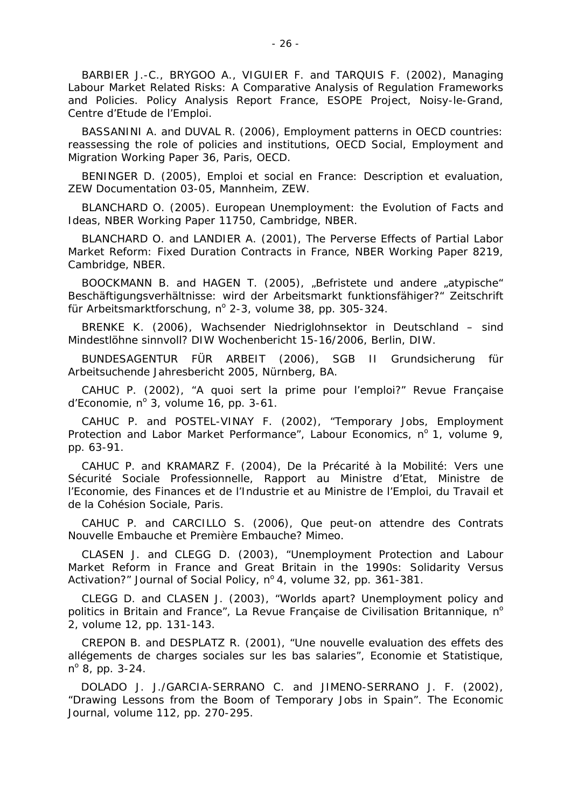BARBIER J.-C., BRYGOO A., VIGUIER F. and TARQUIS F. (2002), *Managing Labour Market Related Risks: A Comparative Analysis of Regulation Frameworks and Policies. Policy Analysis Report France,* ESOPE Project, Noisy-le-Grand, Centre d'Etude de l'Emploi.

BASSANINI A. and DUVAL R. (2006), Employment patterns in OECD countries: reassessing the role of policies and institutions, OECD Social, Employment and Migration Working Paper 36, Paris, OECD.

BENINGER D. (2005), *Emploi et social en France: Description et evaluatio*n, ZEW Documentation 03-05, Mannheim, ZEW.

BLANCHARD O. (2005). *European Unemployment: the Evolution of Facts and Ideas*, NBER Working Paper 11750, Cambridge, NBER.

BLANCHARD O. and LANDIER A. (2001), *The Perverse Effects of Partial Labor Market Reform: Fixed Duration Contracts in France,* NBER Working Paper 8219, Cambridge, NBER.

BOOCKMANN B. and HAGEN T. (2005), "Befristete und andere "atypische" Beschäftigungsverhältnisse: wird der Arbeitsmarkt funktionsfähiger?" Zeitschrift für Arbeitsmarktforschung, n° 2-3, volume 38, pp. 305-324.

BRENKE K. (2006), *Wachsender Niedriglohnsektor in Deutschland – sind Mindestlöhne sinnvoll?* DIW Wochenbericht 15-16/2006, Berlin, DIW.

BUNDESAGENTUR FÜR ARBEIT (2006), *SGB II Grundsicherung für Arbeitsuchende Jahresbericht 2005,* Nürnberg, BA.

CAHUC P. (2002), "A quoi sert la prime pour l'emploi?" *Revue Française d'Economie*, nº 3, volume 16, pp. 3-61.

CAHUC P. and POSTEL-VINAY F. (2002), "Temporary Jobs, Employment Protection and Labor Market Performance", *Labour Economics*, nº 1, volume 9, pp. 63-91.

CAHUC P. and KRAMARZ F. (2004), *De la Précarité à la Mobilité: Vers une Sécurité Sociale Professionnelle,* Rapport au Ministre d'Etat, Ministre de l'Economie, des Finances et de l'Industrie et au Ministre de l'Emploi, du Travail et de la Cohésion Sociale, Paris.

CAHUC P. and CARCILLO S. (2006), *Que peut-on attendre des Contrats Nouvelle Embauche et Première Embauche?* Mimeo.

CLASEN J. and CLEGG D. (2003), "Unemployment Protection and Labour Market Reform in France and Great Britain in the 1990s: Solidarity Versus Activation?" *Journal of Social Policy*, nº 4, volume 32, pp. 361-381.

CLEGG D. and CLASEN J. (2003), "Worlds apart? Unemployment policy and politics in Britain and France", *La Revue Française de Civilisation Britannique*, n<sup>o</sup> 2, volume 12, pp. 131-143.

CREPON B. and DESPLATZ R. (2001), "Une nouvelle evaluation des effets des allégements de charges sociales sur les bas salaries", *Economie et Statistique*, nº 8, pp. 3-24.

DOLADO J. J./GARCIA-SERRANO C. and JIMENO-SERRANO J. F. (2002), "Drawing Lessons from the Boom of Temporary Jobs in Spain". *The Economic Journal,* volume 112, pp. 270-295.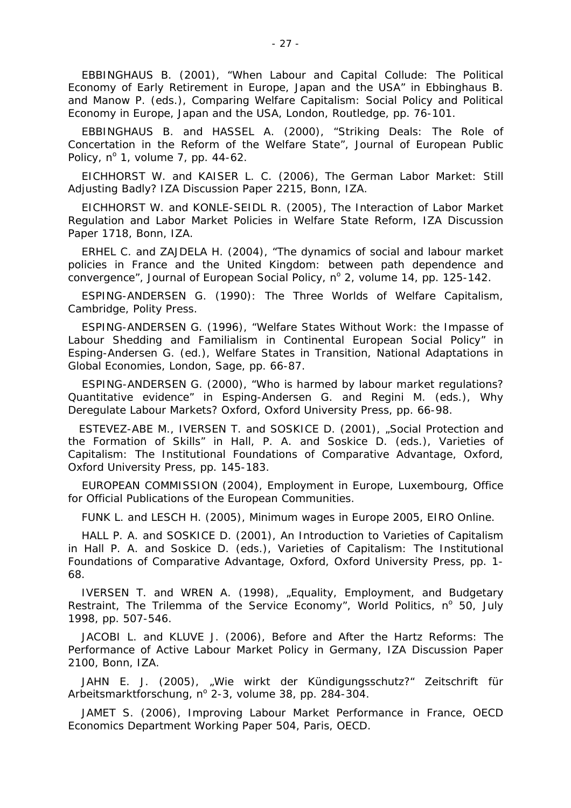EBBINGHAUS B. (2001), "When Labour and Capital Collude: The Political Economy of Early Retirement in Europe, Japan and the USA" *in* Ebbinghaus B. and Manow P. (eds.), *Comparing Welfare Capitalism: Social Policy and Political Economy in Europe, Japan and the USA,* London, Routledge, pp. 76-101.

EBBINGHAUS B. and HASSEL A. (2000), "Striking Deals: The Role of Concertation in the Reform of the Welfare State", *Journal of European Public Policy*,  $n^{\circ}$  1, volume 7, pp. 44-62.

EICHHORST W. and KAISER L. C. (2006), *The German Labor Market: Still Adjusting Badly?* IZA Discussion Paper 2215, Bonn, IZA.

EICHHORST W. and KONLE-SEIDL R. (2005), *The Interaction of Labor Market Regulation and Labor Market Policies in Welfare State Reform*, IZA Discussion Paper 1718, Bonn, IZA.

ERHEL C. and ZAJDELA H. (2004), "The dynamics of social and labour market policies in France and the United Kingdom: between path dependence and convergence", Journal of European Social Policy, nº 2, volume 14, pp. 125-142.

ESPING-ANDERSEN G. (1990): *The Three Worlds of Welfare Capitalism,*  Cambridge, Polity Press.

ESPING-ANDERSEN G. (1996), "Welfare States Without Work: the Impasse of Labour Shedding and Familialism in Continental European Social Policy" *in* Esping-Andersen G. (ed.), *Welfare States in Transition, National Adaptations in Global Economies*, London, Sage, pp. 66-87.

ESPING-ANDERSEN G. (2000), "Who is harmed by labour market regulations? Quantitative evidence" *in* Esping-Andersen G. and Regini M. (eds.), *Why Deregulate Labour Markets?* Oxford, Oxford University Press, pp. 66-98.

ESTEVEZ-ABE M., IVERSEN T. and SOSKICE D. (2001), "Social Protection and the Formation of Skills" *in* Hall, P. A. and Soskice D. (eds.), *Varieties of Capitalism: The Institutional Foundations of Comparative Advantage,* Oxford, Oxford University Press, pp. 145-183.

EUROPEAN COMMISSION (2004), *Employment in Europe*, Luxembourg, Office for Official Publications of the European Communities.

FUNK L. and LESCH H. (2005), *Minimum wages in Europe 2005*, EIRO Online.

HALL P. A. and SOSKICE D. (2001), An Introduction to Varieties of Capitalism *in* Hall P. A. and Soskice D. (eds.), *Varieties of Capitalism: The Institutional Foundations of Comparative Advantage,* Oxford, Oxford University Press, pp. 1- 68.

IVERSEN T. and WREN A. (1998), "Equality, Employment, and Budgetary Restraint, The Trilemma of the Service Economy", World Politics, nº 50, July 1998, pp. 507-546.

JACOBI L. and KLUVE J. (2006), *Before and After the Hartz Reforms: The Performance of Active Labour Market Policy in Germany,* IZA Discussion Paper 2100, Bonn, IZA.

JAHN E. J. (2005), "Wie wirkt der Kündigungsschutz?" *Zeitschrift für*  Arbeitsmarktforschung, nº 2-3, volume 38, pp. 284-304.

JAMET S. (2006), *Improving Labour Market Performance in France,* OECD Economics Department Working Paper 504, Paris, OECD.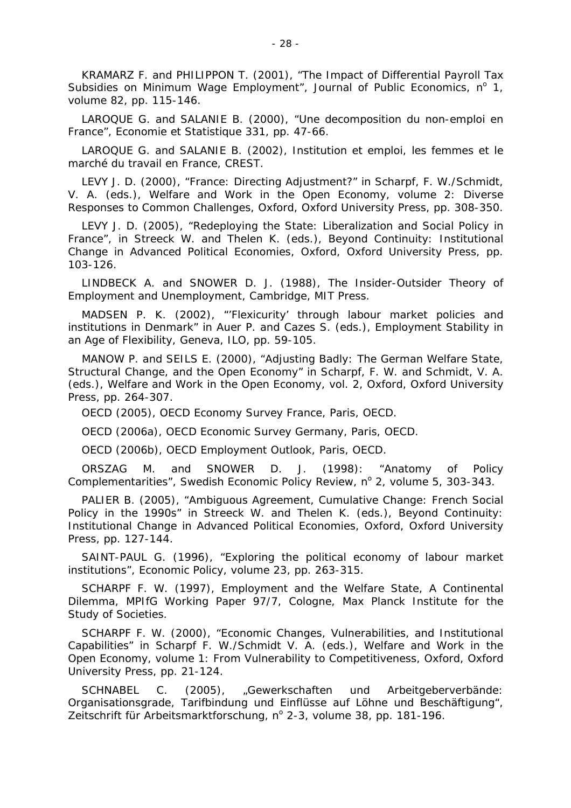KRAMARZ F. and PHILIPPON T. (2001), "The Impact of Differential Payroll Tax Subsidies on Minimum Wage Employment", *Journal of Public Economics*, nº 1, volume 82, pp. 115-146.

LAROQUE G. and SALANIE B. (2000), "Une decomposition du non-emploi en France", *Economie et Statistique* 331, pp. 47-66.

LAROQUE G. and SALANIE B. (2002), *Institution et emploi, les femmes et le marché du travail en France,* CREST.

LEVY J. D. (2000), "France: Directing Adjustment?" *in* Scharpf, F. W./Schmidt, V. A. (eds.), *Welfare and Work in the Open Economy,* volume 2: Diverse Responses to Common Challenges, Oxford, Oxford University Press, pp. 308-350.

LEVY J. D. (2005), "Redeploying the State: Liberalization and Social Policy in France", *in* Streeck W. and Thelen K. (eds.), *Beyond Continuity: Institutional Change in Advanced Political Economies,* Oxford, Oxford University Press, pp. 103-126.

LINDBECK A. and SNOWER D. J. (1988), *The Insider-Outsider Theory of Employment and Unemployment*, Cambridge, MIT Press.

MADSEN P. K. (2002), "'Flexicurity' through labour market policies and institutions in Denmark" *in* Auer P. and Cazes S. (eds.), *Employment Stability in an Age of Flexibility,* Geneva, ILO, pp. 59-105.

MANOW P. and SEILS E. (2000), "Adjusting Badly: The German Welfare State, Structural Change, and the Open Economy" *in* Scharpf, F. W. and Schmidt, V. A. (eds.), *Welfare and Work in the Open Economy*, vol. 2, Oxford, Oxford University Press, pp. 264-307.

OECD (2005), *OECD Economy Survey France*, Paris, OECD.

OECD (2006a), *OECD Economic Survey Germany*, Paris, OECD.

OECD (2006b), *OECD Employment Outlook*, Paris, OECD.

ORSZAG M. and SNOWER D. J. (1998): *"*Anatomy of Policy Complementarities", Swedish Economic Policy Review, nº 2, volume 5, 303-343.

PALIER B. (2005), "Ambiguous Agreement, Cumulative Change: French Social Policy in the 1990s" *in* Streeck W. and Thelen K. (eds.), *Beyond Continuity: Institutional Change in Advanced Political Economies,* Oxford, Oxford University Press, pp. 127-144.

SAINT-PAUL G. (1996), "Exploring the political economy of labour market institutions", *Economic Policy*, volume 23, pp. 263-315.

SCHARPF F. W. (1997), *Employment and the Welfare State, A Continental Dilemma,* MPIfG Working Paper 97/7, Cologne, Max Planck Institute for the Study of Societies.

SCHARPF F. W. (2000), "Economic Changes, Vulnerabilities, and Institutional Capabilities" *in* Scharpf F. W./Schmidt V. A. (eds.), *Welfare and Work in the Open Economy*, volume 1: From Vulnerability to Competitiveness, Oxford, Oxford University Press, pp. 21-124.

SCHNABEL C. (2005), "Gewerkschaften und Arbeitgeberverbände: Organisationsgrade, Tarifbindung und Einflüsse auf Löhne und Beschäftigung", Zeitschrift für Arbeitsmarktforschung, n° 2-3, volume 38, pp. 181-196.